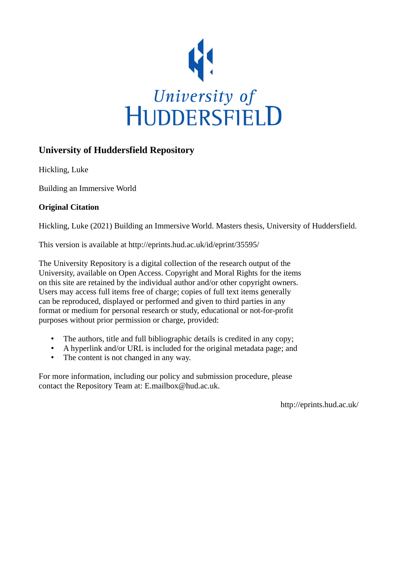

# **University of Huddersfield Repository**

Hickling, Luke

Building an Immersive World

## **Original Citation**

Hickling, Luke (2021) Building an Immersive World. Masters thesis, University of Huddersfield.

This version is available at http://eprints.hud.ac.uk/id/eprint/35595/

The University Repository is a digital collection of the research output of the University, available on Open Access. Copyright and Moral Rights for the items on this site are retained by the individual author and/or other copyright owners. Users may access full items free of charge; copies of full text items generally can be reproduced, displayed or performed and given to third parties in any format or medium for personal research or study, educational or not-for-profit purposes without prior permission or charge, provided:

- The authors, title and full bibliographic details is credited in any copy;
- A hyperlink and/or URL is included for the original metadata page; and
- The content is not changed in any way.

For more information, including our policy and submission procedure, please contact the Repository Team at: E.mailbox@hud.ac.uk.

http://eprints.hud.ac.uk/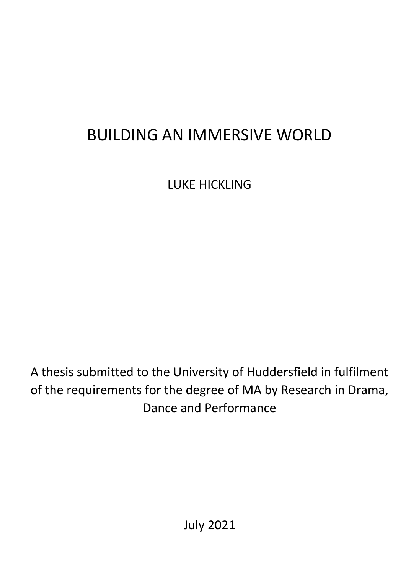# BUILDING AN IMMERSIVE WORLD

LUKE HICKLING

A thesis submitted to the University of Huddersfield in fulfilment of the requirements for the degree of MA by Research in Drama, Dance and Performance

July 2021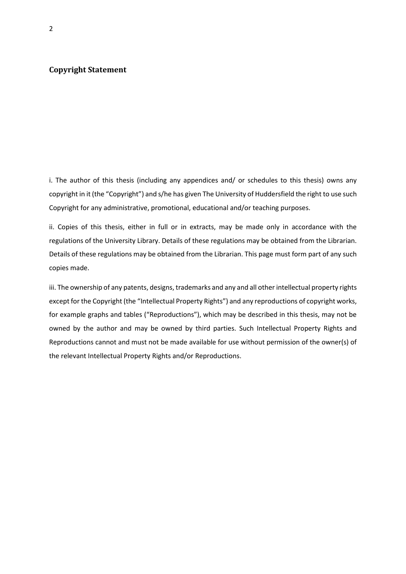#### **Copyright Statement**

i. The author of this thesis (including any appendices and/ or schedules to this thesis) owns any copyright in it (the "Copyright") and s/he has given The University of Huddersfield the right to use such Copyright for any administrative, promotional, educational and/or teaching purposes.

ii. Copies of this thesis, either in full or in extracts, may be made only in accordance with the regulations of the University Library. Details of these regulations may be obtained from the Librarian. Details of these regulations may be obtained from the Librarian. This page must form part of any such copies made.

iii. The ownership of any patents, designs, trademarks and any and all other intellectual property rights except for the Copyright (the "Intellectual Property Rights") and any reproductions of copyright works, for example graphs and tables ("Reproductions"), which may be described in this thesis, may not be owned by the author and may be owned by third parties. Such Intellectual Property Rights and Reproductions cannot and must not be made available for use without permission of the owner(s) of the relevant Intellectual Property Rights and/or Reproductions.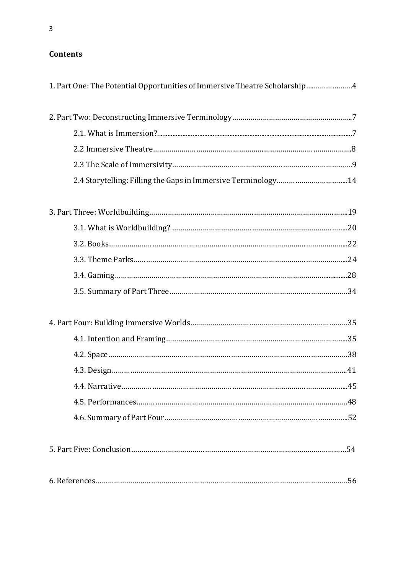# **Contents**

| 1. Part One: The Potential Opportunities of Immersive Theatre Scholarship4 |
|----------------------------------------------------------------------------|
|                                                                            |
|                                                                            |
|                                                                            |
|                                                                            |
| 2.4 Storytelling: Filling the Gaps in Immersive Terminology14              |
|                                                                            |
|                                                                            |
|                                                                            |
|                                                                            |
|                                                                            |
|                                                                            |
|                                                                            |
|                                                                            |
|                                                                            |
|                                                                            |
|                                                                            |
|                                                                            |
|                                                                            |
|                                                                            |
|                                                                            |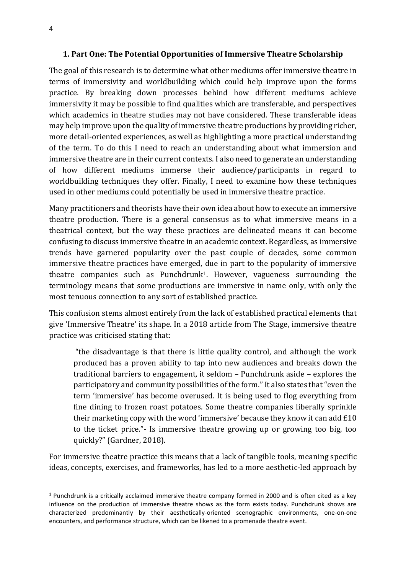## **1. Part One: The Potential Opportunities of Immersive Theatre Scholarship**

The goal of this research is to determine what other mediums offer immersive theatre in terms of immersivity and worldbuilding which could help improve upon the forms practice. By breaking down processes behind how different mediums achieve immersivity it may be possible to find qualities which are transferable, and perspectives which academics in theatre studies may not have considered. These transferable ideas may help improve upon the quality of immersive theatre productions by providing richer, more detail-oriented experiences, as well as highlighting a more practical understanding of the term. To do this I need to reach an understanding about what immersion and immersive theatre are in their current contexts. I also need to generate an understanding of how different mediums immerse their audience/participants in regard to worldbuilding techniques they offer. Finally, I need to examine how these techniques used in other mediums could potentially be used in immersive theatre practice.

Many practitioners and theorists have their own idea about how to execute an immersive theatre production. There is a general consensus as to what immersive means in a theatrical context, but the way these practices are delineated means it can become confusing to discuss immersive theatre in an academic context. Regardless, as immersive trends have garnered popularity over the past couple of decades, some common immersive theatre practices have emerged, due in part to the popularity of immersive theatre companies such as Punchdrunk1. However, vagueness surrounding the terminology means that some productions are immersive in name only, with only the most tenuous connection to any sort of established practice.

This confusion stems almost entirely from the lack of established practical elements that give 'Immersive Theatre' its shape. In a 2018 article from The Stage, immersive theatre practice was criticised stating that:

"the disadvantage is that there is little quality control, and although the work produced has a proven ability to tap into new audiences and breaks down the traditional barriers to engagement, it seldom – Punchdrunk aside – explores the participatory and community possibilities of the form." It also states that "even the term 'immersive' has become overused. It is being used to flog everything from fine dining to frozen roast potatoes. Some theatre companies liberally sprinkle their marketing copy with the word 'immersive' because they know it can add £10 to the ticket price."- Is immersive theatre growing up or growing too big, too quickly?" (Gardner, 2018).

For immersive theatre practice this means that a lack of tangible tools, meaning specific ideas, concepts, exercises, and frameworks, has led to a more aesthetic-led approach by

 $1$  Punchdrunk is a critically acclaimed immersive theatre company formed in 2000 and is often cited as a key influence on the production of immersive theatre shows as the form exists today. Punchdrunk shows are characterized predominantly by their aesthetically-oriented scenographic environments, one-on-one encounters, and performance structure, which can be likened to a promenade theatre event.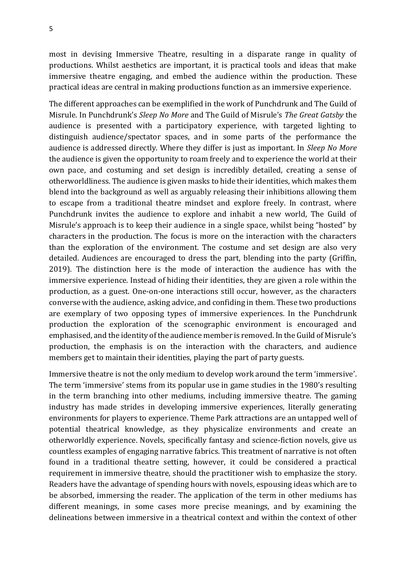most in devising Immersive Theatre, resulting in a disparate range in quality of productions. Whilst aesthetics are important, it is practical tools and ideas that make immersive theatre engaging, and embed the audience within the production. These practical ideas are central in making productions function as an immersive experience.

The different approaches can be exemplified in the work of Punchdrunk and The Guild of Misrule. In Punchdrunk's *Sleep No More* and The Guild of Misrule's *The Great Gatsby* the audience is presented with a participatory experience, with targeted lighting to distinguish audience/spectator spaces, and in some parts of the performance the audience is addressed directly. Where they differ is just as important. In *Sleep No More* the audience is given the opportunity to roam freely and to experience the world at their own pace, and costuming and set design is incredibly detailed, creating a sense of otherworldliness. The audience is given masks to hide their identities, which makes them blend into the background as well as arguably releasing their inhibitions allowing them to escape from a traditional theatre mindset and explore freely. In contrast, where Punchdrunk invites the audience to explore and inhabit a new world, The Guild of Misrule's approach is to keep their audience in a single space, whilst being "hosted" by characters in the production. The focus is more on the interaction with the characters than the exploration of the environment. The costume and set design are also very detailed. Audiences are encouraged to dress the part, blending into the party (Griffin, 2019). The distinction here is the mode of interaction the audience has with the immersive experience. Instead of hiding their identities, they are given a role within the production, as a guest. One-on-one interactions still occur, however, as the characters converse with the audience, asking advice, and confiding in them. These two productions are exemplary of two opposing types of immersive experiences. In the Punchdrunk production the exploration of the scenographic environment is encouraged and emphasised, and the identity of the audience member is removed. In the Guild of Misrule's production, the emphasis is on the interaction with the characters, and audience members get to maintain their identities, playing the part of party guests.

Immersive theatre is not the only medium to develop work around the term 'immersive'. The term 'immersive' stems from its popular use in game studies in the 1980's resulting in the term branching into other mediums, including immersive theatre. The gaming industry has made strides in developing immersive experiences, literally generating environments for players to experience. Theme Park attractions are an untapped well of potential theatrical knowledge, as they physicalize environments and create an otherworldly experience. Novels, specifically fantasy and science-fiction novels, give us countless examples of engaging narrative fabrics. This treatment of narrative is not often found in a traditional theatre setting, however, it could be considered a practical requirement in immersive theatre, should the practitioner wish to emphasize the story. Readers have the advantage of spending hours with novels, espousing ideas which are to be absorbed, immersing the reader. The application of the term in other mediums has different meanings, in some cases more precise meanings, and by examining the delineations between immersive in a theatrical context and within the context of other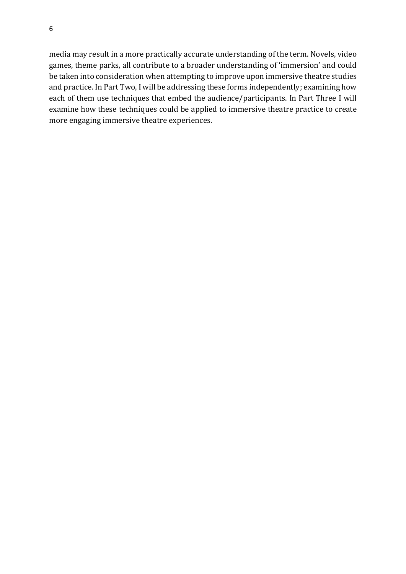6

media may result in a more practically accurate understanding of the term. Novels, video games, theme parks, all contribute to a broader understanding of 'immersion' and could be taken into consideration when attempting to improve upon immersive theatre studies and practice. In Part Two, I will be addressing these forms independently; examining how each of them use techniques that embed the audience/participants. In Part Three I will examine how these techniques could be applied to immersive theatre practice to create more engaging immersive theatre experiences.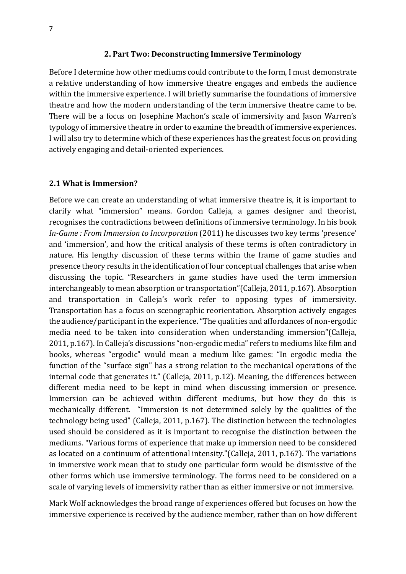#### **2. Part Two: Deconstructing Immersive Terminology**

Before I determine how other mediums could contribute to the form, I must demonstrate a relative understanding of how immersive theatre engages and embeds the audience within the immersive experience. I will briefly summarise the foundations of immersive theatre and how the modern understanding of the term immersive theatre came to be. There will be a focus on Josephine Machon's scale of immersivity and Jason Warren's typology of immersive theatre in order to examine the breadth of immersive experiences. I will also try to determine which of these experiences has the greatest focus on providing actively engaging and detail-oriented experiences.

#### **2.1 What is Immersion?**

Before we can create an understanding of what immersive theatre is, it is important to clarify what "immersion" means. Gordon Calleja, a games designer and theorist, recognises the contradictions between definitions of immersive terminology. In his book *In-Game : From Immersion to Incorporation* (2011) he discusses two key terms 'presence' and 'immersion', and how the critical analysis of these terms is often contradictory in nature. His lengthy discussion of these terms within the frame of game studies and presence theory results in the identification of four conceptual challenges that arise when discussing the topic. "Researchers in game studies have used the term immersion interchangeably to mean absorption or transportation"(Calleja, 2011, p.167). Absorption and transportation in Calleja's work refer to opposing types of immersivity. Transportation has a focus on scenographic reorientation. Absorption actively engages the audience/participant in the experience. "The qualities and affordances of non-ergodic media need to be taken into consideration when understanding immersion"(Calleja, 2011, p.167). In Calleja's discussions "non-ergodic media" refers to mediums like film and books, whereas "ergodic" would mean a medium like games: "In ergodic media the function of the "surface sign" has a strong relation to the mechanical operations of the internal code that generates it." (Calleja, 2011, p.12). Meaning, the differences between different media need to be kept in mind when discussing immersion or presence. Immersion can be achieved within different mediums, but how they do this is mechanically different. "Immersion is not determined solely by the qualities of the technology being used" (Calleja, 2011, p.167). The distinction between the technologies used should be considered as it is important to recognise the distinction between the mediums. "Various forms of experience that make up immersion need to be considered as located on a continuum of attentional intensity."(Calleja, 2011, p.167). The variations in immersive work mean that to study one particular form would be dismissive of the other forms which use immersive terminology. The forms need to be considered on a scale of varying levels of immersivity rather than as either immersive or not immersive.

Mark Wolf acknowledges the broad range of experiences offered but focuses on how the immersive experience is received by the audience member, rather than on how different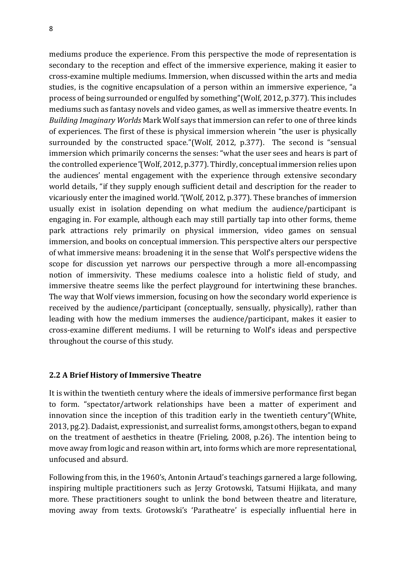8

mediums produce the experience. From this perspective the mode of representation is secondary to the reception and effect of the immersive experience, making it easier to cross-examine multiple mediums. Immersion, when discussed within the arts and media studies, is the cognitive encapsulation of a person within an immersive experience, "a process of being surrounded or engulfed by something"(Wolf, 2012, p.377). This includes mediums such as fantasy novels and video games, as well as immersive theatre events. In *Building Imaginary Worlds* Mark Wolf says that immersion can refer to one of three kinds of experiences. The first of these is physical immersion wherein "the user is physically surrounded by the constructed space."(Wolf, 2012, p.377). The second is "sensual immersion which primarily concerns the senses: "what the user sees and hears is part of the controlled experience*"*(Wolf, 2012, p.377). Thirdly, conceptual immersion relies upon the audiences' mental engagement with the experience through extensive secondary world details, "if they supply enough sufficient detail and description for the reader to vicariously enter the imagined world*."*(Wolf, 2012, p.377). These branches of immersion usually exist in isolation depending on what medium the audience/participant is engaging in. For example, although each may still partially tap into other forms, theme park attractions rely primarily on physical immersion, video games on sensual immersion, and books on conceptual immersion. This perspective alters our perspective of what immersive means: broadening it in the sense that Wolf's perspective widens the scope for discussion yet narrows our perspective through a more all-encompassing notion of immersivity. These mediums coalesce into a holistic field of study, and immersive theatre seems like the perfect playground for intertwining these branches. The way that Wolf views immersion, focusing on how the secondary world experience is received by the audience/participant (conceptually, sensually, physically), rather than leading with how the medium immerses the audience/participant, makes it easier to cross-examine different mediums. I will be returning to Wolf's ideas and perspective throughout the course of this study.

## **2.2 A Brief History of Immersive Theatre**

It is within the twentieth century where the ideals of immersive performance first began to form. "spectator/artwork relationships have been a matter of experiment and innovation since the inception of this tradition early in the twentieth century"(White, 2013, pg.2). Dadaist, expressionist, and surrealist forms, amongst others, began to expand on the treatment of aesthetics in theatre (Frieling, 2008, p.26). The intention being to move away from logic and reason within art, into forms which are more representational, unfocused and absurd.

Following from this, in the 1960's, Antonin Artaud's teachings garnered a large following, inspiring multiple practitioners such as Jerzy Grotowski, Tatsumi Hijikata, and many more. These practitioners sought to unlink the bond between theatre and literature, moving away from texts. Grotowski's 'Paratheatre' is especially influential here in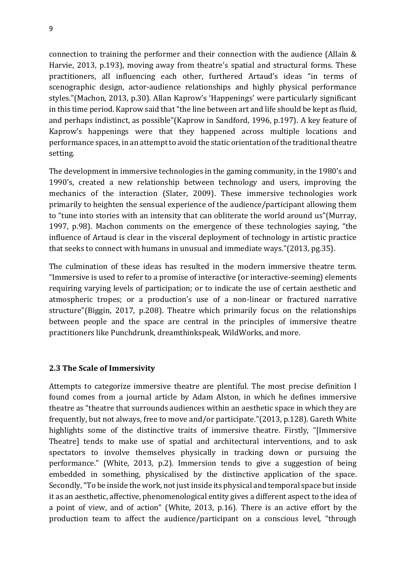connection to training the performer and their connection with the audience (Allain & Harvie, 2013, p.193), moving away from theatre's spatial and structural forms. These practitioners, all influencing each other, furthered Artaud's ideas "in terms of scenographic design, actor-audience relationships and highly physical performance styles."(Machon, 2013, p.30). Allan Kaprow's 'Happenings' were particularly significant in this time period. Kaprow said that "the line between art and life should be kept as fluid, and perhaps indistinct, as possible"(Kaprow in Sandford, 1996, p.197). A key feature of Kaprow's happenings were that they happened across multiple locations and performance spaces, in an attempt to avoid the static orientation of the traditional theatre setting.

The development in immersive technologies in the gaming community, in the 1980's and 1990's, created a new relationship between technology and users, improving the mechanics of the interaction (Slater, 2009). These immersive technologies work primarily to heighten the sensual experience of the audience/participant allowing them to "tune into stories with an intensity that can obliterate the world around us"(Murray, 1997, p.98). Machon comments on the emergence of these technologies saying, "the influence of Artaud is clear in the visceral deployment of technology in artistic practice that seeks to connect with humans in unusual and immediate ways."(2013, pg.35).

The culmination of these ideas has resulted in the modern immersive theatre term. "Immersive is used to refer to a promise of interactive (or interactive-seeming) elements requiring varying levels of participation; or to indicate the use of certain aesthetic and atmospheric tropes; or a production's use of a non-linear or fractured narrative structure"(Biggin, 2017, p.208). Theatre which primarily focus on the relationships between people and the space are central in the principles of immersive theatre practitioners like Punchdrunk, dreamthinkspeak, WildWorks, and more.

#### **2.3 The Scale of Immersivity**

Attempts to categorize immersive theatre are plentiful. The most precise definition I found comes from a journal article by Adam Alston, in which he defines immersive theatre as "theatre that surrounds audiences within an aesthetic space in which they are frequently, but not always, free to move and/or participate*.*"(2013, p.128). Gareth White highlights some of the distinctive traits of immersive theatre. Firstly, "[Immersive Theatre] tends to make use of spatial and architectural interventions, and to ask spectators to involve themselves physically in tracking down or pursuing the performance." (White, 2013, p.2). Immersion tends to give a suggestion of being embedded in something, physicalised by the distinctive application of the space. Secondly, "To be inside the work, not just inside its physical and temporal space but inside it as an aesthetic, affective, phenomenological entity gives a different aspect to the idea of a point of view, and of action" (White, 2013, p.16). There is an active effort by the production team to affect the audience/participant on a conscious level, "through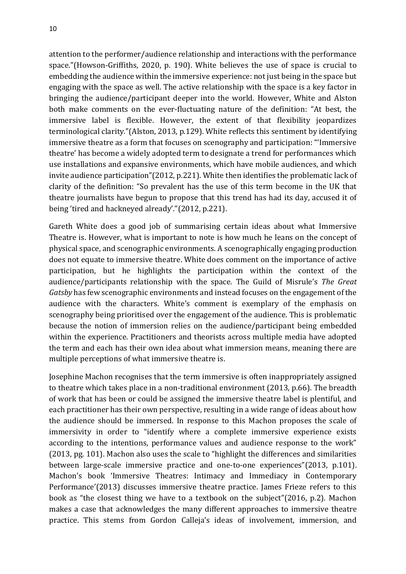attention to the performer/audience relationship and interactions with the performance space."(Howson-Griffiths, 2020, p. 190). White believes the use of space is crucial to embedding the audience within the immersive experience: not just being in the space but engaging with the space as well. The active relationship with the space is a key factor in bringing the audience/participant deeper into the world. However, White and Alston both make comments on the ever-fluctuating nature of the definition: "At best, the immersive label is flexible. However, the extent of that flexibility jeopardizes terminological clarity*.*"(Alston, 2013, p.129). White reflects this sentiment by identifying immersive theatre as a form that focuses on scenography and participation: "'Immersive theatre' has become a widely adopted term to designate a trend for performances which use installations and expansive environments, which have mobile audiences, and which invite audience participation"(2012, p.221). White then identifies the problematic lack of clarity of the definition: "So prevalent has the use of this term become in the UK that theatre journalists have begun to propose that this trend has had its day, accused it of being 'tired and hackneyed already'."(2012, p.221).

Gareth White does a good job of summarising certain ideas about what Immersive Theatre is. However, what is important to note is how much he leans on the concept of physical space, and scenographic environments. A scenographically engaging production does not equate to immersive theatre. White does comment on the importance of active participation, but he highlights the participation within the context of the audience/participants relationship with the space. The Guild of Misrule's *The Great Gatsby* has few scenographic environments and instead focuses on the engagement of the audience with the characters. White's comment is exemplary of the emphasis on scenography being prioritised over the engagement of the audience. This is problematic because the notion of immersion relies on the audience/participant being embedded within the experience. Practitioners and theorists across multiple media have adopted the term and each has their own idea about what immersion means, meaning there are multiple perceptions of what immersive theatre is.

Josephine Machon recognises that the term immersive is often inappropriately assigned to theatre which takes place in a non-traditional environment (2013, p.66). The breadth of work that has been or could be assigned the immersive theatre label is plentiful, and each practitioner has their own perspective, resulting in a wide range of ideas about how the audience should be immersed. In response to this Machon proposes the scale of immersivity in order to "identify where a complete immersive experience exists according to the intentions, performance values and audience response to the work" (2013, pg. 101). Machon also uses the scale to "highlight the differences and similarities between large-scale immersive practice and one-to-one experiences"(2013, p.101). Machon's book 'Immersive Theatres: Intimacy and Immediacy in Contemporary Performance'(2013) discusses immersive theatre practice. James Frieze refers to this book as "the closest thing we have to a textbook on the subject"(2016, p.2). Machon makes a case that acknowledges the many different approaches to immersive theatre practice. This stems from Gordon Calleja's ideas of involvement, immersion, and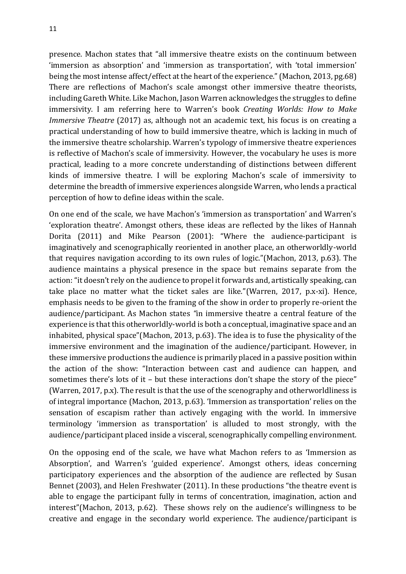presence. Machon states that "all immersive theatre exists on the continuum between 'immersion as absorption' and 'immersion as transportation', with 'total immersion' being the most intense affect/effect at the heart of the experience." (Machon, 2013, pg.68) There are reflections of Machon's scale amongst other immersive theatre theorists, including Gareth White. Like Machon, Jason Warren acknowledges the struggles to define immersivity. I am referring here to Warren's book *Creating Worlds: How to Make Immersive Theatre* (2017) as, although not an academic text, his focus is on creating a practical understanding of how to build immersive theatre, which is lacking in much of the immersive theatre scholarship. Warren's typology of immersive theatre experiences is reflective of Machon's scale of immersivity. However, the vocabulary he uses is more practical, leading to a more concrete understanding of distinctions between different kinds of immersive theatre. I will be exploring Machon's scale of immersivity to determine the breadth of immersive experiences alongside Warren, who lends a practical perception of how to define ideas within the scale.

On one end of the scale, we have Machon's 'immersion as transportation' and Warren's 'exploration theatre'. Amongst others, these ideas are reflected by the likes of Hannah Dorita (2011) and Mike Pearson (2001): "Where the audience-participant is imaginatively and scenographically reoriented in another place, an otherworldly-world that requires navigation according to its own rules of logic."(Machon, 2013, p.63). The audience maintains a physical presence in the space but remains separate from the action:"it doesn't rely on the audience to propel it forwards and, artistically speaking, can take place no matter what the ticket sales are like."(Warren, 2017, p.x-xi). Hence, emphasis needs to be given to the framing of the show in order to properly re-orient the audience/participant. As Machon states *"*in immersive theatre a central feature of the experience is that this otherworldly-world is both a conceptual, imaginative space and an inhabited, physical space"(Machon, 2013, p.63). The idea is to fuse the physicality of the immersive environment and the imagination of the audience/participant. However, in these immersive productions the audience is primarily placed in a passive position within the action of the show: "Interaction between cast and audience can happen, and sometimes there's lots of it – but these interactions don't shape the story of the piece" (Warren, 2017, p.x). The result is that the use of the scenography and otherworldliness is of integral importance (Machon, 2013, p.63). 'Immersion as transportation' relies on the sensation of escapism rather than actively engaging with the world. In immersive terminology 'immersion as transportation' is alluded to most strongly, with the audience/participant placed inside a visceral, scenographically compelling environment.

On the opposing end of the scale, we have what Machon refers to as 'Immersion as Absorption', and Warren's 'guided experience'. Amongst others, ideas concerning participatory experiences and the absorption of the audience are reflected by Susan Bennet (2003), and Helen Freshwater (2011). In these productions "the theatre event is able to engage the participant fully in terms of concentration, imagination, action and interest"(Machon, 2013, p.62). These shows rely on the audience's willingness to be creative and engage in the secondary world experience. The audience/participant is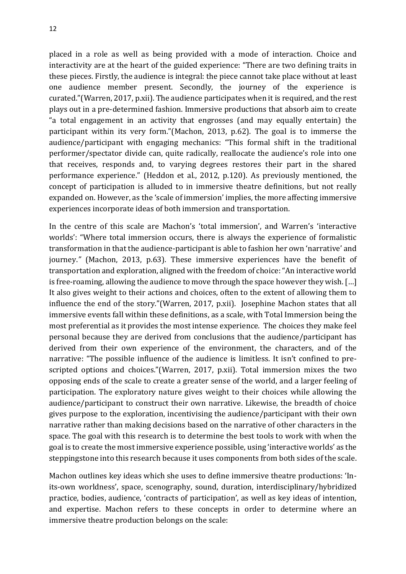placed in a role as well as being provided with a mode of interaction. Choice and interactivity are at the heart of the guided experience: "There are two defining traits in these pieces. Firstly, the audience is integral: the piece cannot take place without at least one audience member present. Secondly, the journey of the experience is curated."(Warren, 2017, p.xii). The audience participates when it is required, and the rest plays out in a pre-determined fashion. Immersive productions that absorb aim to create "a total engagement in an activity that engrosses (and may equally entertain) the participant within its very form."(Machon, 2013, p.62). The goal is to immerse the audience/participant with engaging mechanics: "This formal shift in the traditional performer/spectator divide can, quite radically, reallocate the audience's role into one that receives, responds and, to varying degrees restores their part in the shared performance experience." (Heddon et al., 2012, p.120). As previously mentioned, the concept of participation is alluded to in immersive theatre definitions, but not really expanded on. However, as the 'scale of immersion' implies, the more affecting immersive experiences incorporate ideas of both immersion and transportation.

In the centre of this scale are Machon's 'total immersion', and Warren's 'interactive worlds': "Where total immersion occurs, there is always the experience of formalistic transformation in that the audience-participant is able to fashion her own 'narrative' and journey.*"* (Machon, 2013, p.63). These immersive experiences have the benefit of transportation and exploration, aligned with the freedom of choice: "An interactive world is free-roaming, allowing the audience to move through the space however they wish. […] It also gives weight to their actions and choices, often to the extent of allowing them to influence the end of the story."(Warren, 2017, p.xii). Josephine Machon states that all immersive events fall within these definitions, as a scale, with Total Immersion being the most preferential as it provides the most intense experience. The choices they make feel personal because they are derived from conclusions that the audience/participant has derived from their own experience of the environment, the characters, and of the narrative: "The possible influence of the audience is limitless. It isn't confined to prescripted options and choices."(Warren, 2017, p.xii). Total immersion mixes the two opposing ends of the scale to create a greater sense of the world, and a larger feeling of participation. The exploratory nature gives weight to their choices while allowing the audience/participant to construct their own narrative. Likewise, the breadth of choice gives purpose to the exploration, incentivising the audience/participant with their own narrative rather than making decisions based on the narrative of other characters in the space. The goal with this research is to determine the best tools to work with when the goal is to create the most immersive experience possible, using 'interactive worlds' as the steppingstone into this research because it uses components from both sides of the scale.

Machon outlines key ideas which she uses to define immersive theatre productions: 'Inits-own worldness', space, scenography, sound, duration, interdisciplinary/hybridized practice, bodies, audience, 'contracts of participation', as well as key ideas of intention, and expertise. Machon refers to these concepts in order to determine where an immersive theatre production belongs on the scale: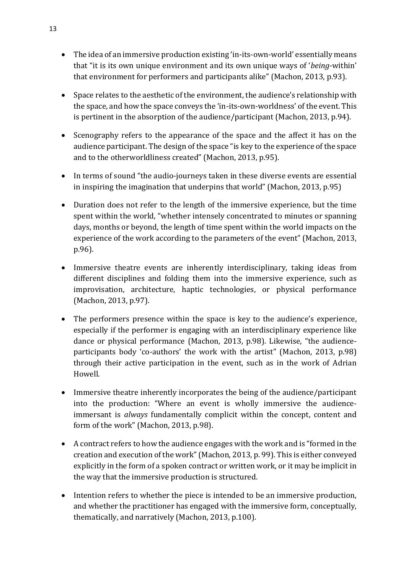- The idea of an immersive production existing 'in-its-own-world' essentially means that "it is its own unique environment and its own unique ways of '*being*-within' that environment for performers and participants alike" (Machon, 2013, p.93).
- Space relates to the aesthetic of the environment, the audience's relationship with the space, and how the space conveys the 'in-its-own-worldness' of the event. This is pertinent in the absorption of the audience/participant (Machon, 2013, p.94).
- Scenography refers to the appearance of the space and the affect it has on the audience participant. The design of the space "is key to the experience of the space and to the otherworldliness created" (Machon, 2013, p.95).
- In terms of sound "the audio-journeys taken in these diverse events are essential in inspiring the imagination that underpins that world" (Machon, 2013, p.95)
- Duration does not refer to the length of the immersive experience, but the time spent within the world, "whether intensely concentrated to minutes or spanning days, months or beyond, the length of time spent within the world impacts on the experience of the work according to the parameters of the event" (Machon, 2013, p.96).
- Immersive theatre events are inherently interdisciplinary, taking ideas from different disciplines and folding them into the immersive experience, such as improvisation, architecture, haptic technologies, or physical performance (Machon, 2013, p.97).
- The performers presence within the space is key to the audience's experience, especially if the performer is engaging with an interdisciplinary experience like dance or physical performance (Machon, 2013, p.98). Likewise, "the audienceparticipants body 'co-authors' the work with the artist" (Machon, 2013, p.98) through their active participation in the event, such as in the work of Adrian Howell.
- Immersive theatre inherently incorporates the being of the audience/participant into the production: "Where an event is wholly immersive the audienceimmersant is *always* fundamentally complicit within the concept, content and form of the work" (Machon, 2013, p.98).
- A contract refers to how the audience engages with the work and is "formed in the creation and execution of the work" (Machon, 2013, p. 99). This is either conveyed explicitly in the form of a spoken contract or written work, or it may be implicit in the way that the immersive production is structured.
- Intention refers to whether the piece is intended to be an immersive production, and whether the practitioner has engaged with the immersive form, conceptually, thematically, and narratively (Machon, 2013, p.100).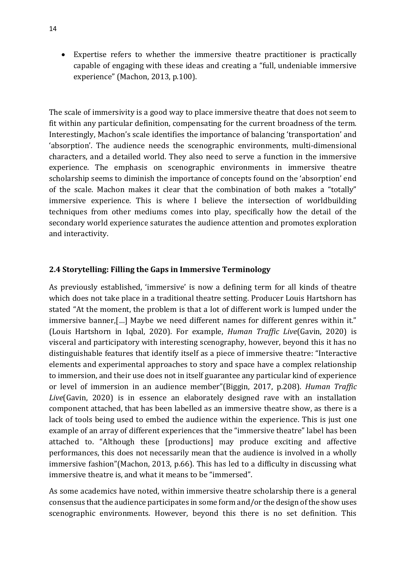• Expertise refers to whether the immersive theatre practitioner is practically capable of engaging with these ideas and creating a "full, undeniable immersive experience" (Machon, 2013, p.100).

The scale of immersivity is a good way to place immersive theatre that does not seem to fit within any particular definition, compensating for the current broadness of the term. Interestingly, Machon's scale identifies the importance of balancing 'transportation' and 'absorption'. The audience needs the scenographic environments, multi-dimensional characters, and a detailed world. They also need to serve a function in the immersive experience. The emphasis on scenographic environments in immersive theatre scholarship seems to diminish the importance of concepts found on the 'absorption' end of the scale. Machon makes it clear that the combination of both makes a "totally" immersive experience. This is where I believe the intersection of worldbuilding techniques from other mediums comes into play, specifically how the detail of the secondary world experience saturates the audience attention and promotes exploration and interactivity.

## **2.4 Storytelling: Filling the Gaps in Immersive Terminology**

As previously established, 'immersive' is now a defining term for all kinds of theatre which does not take place in a traditional theatre setting. Producer Louis Hartshorn has stated "At the moment, the problem is that a lot of different work is lumped under the immersive banner,[…] Maybe we need different names for different genres within it." (Louis Hartshorn in Iqbal, 2020). For example, *Human Traffic Live*(Gavin, 2020) is visceral and participatory with interesting scenography, however, beyond this it has no distinguishable features that identify itself as a piece of immersive theatre: "Interactive elements and experimental approaches to story and space have a complex relationship to immersion, and their use does not in itself guarantee any particular kind of experience or level of immersion in an audience member"(Biggin, 2017, p.208). *Human Traffic Live*(Gavin, 2020) is in essence an elaborately designed rave with an installation component attached, that has been labelled as an immersive theatre show, as there is a lack of tools being used to embed the audience within the experience. This is just one example of an array of different experiences that the "immersive theatre" label has been attached to. "Although these [productions] may produce exciting and affective performances, this does not necessarily mean that the audience is involved in a wholly immersive fashion"(Machon, 2013, p.66). This has led to a difficulty in discussing what immersive theatre is, and what it means to be "immersed".

As some academics have noted, within immersive theatre scholarship there is a general consensus that the audience participates in some form and/or the design of the show uses scenographic environments. However, beyond this there is no set definition. This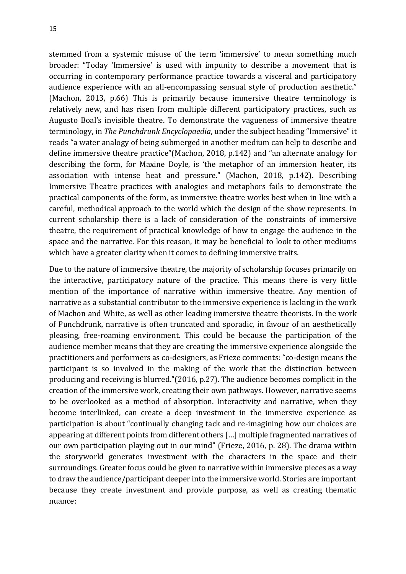stemmed from a systemic misuse of the term 'immersive' to mean something much broader: "Today 'Immersive' is used with impunity to describe a movement that is occurring in contemporary performance practice towards a visceral and participatory audience experience with an all-encompassing sensual style of production aesthetic." (Machon, 2013, p.66) This is primarily because immersive theatre terminology is relatively new, and has risen from multiple different participatory practices, such as Augusto Boal's invisible theatre. To demonstrate the vagueness of immersive theatre terminology, in *The Punchdrunk Encyclopaedia*, under the subject heading "Immersive" it reads "a water analogy of being submerged in another medium can help to describe and define immersive theatre practice"(Machon, 2018, p.142) and "an alternate analogy for describing the form, for Maxine Doyle, is 'the metaphor of an immersion heater, its association with intense heat and pressure." (Machon, 2018, p.142). Describing Immersive Theatre practices with analogies and metaphors fails to demonstrate the practical components of the form, as immersive theatre works best when in line with a careful, methodical approach to the world which the design of the show represents. In current scholarship there is a lack of consideration of the constraints of immersive theatre, the requirement of practical knowledge of how to engage the audience in the space and the narrative. For this reason, it may be beneficial to look to other mediums which have a greater clarity when it comes to defining immersive traits.

Due to the nature of immersive theatre, the majority of scholarship focuses primarily on the interactive, participatory nature of the practice. This means there is very little mention of the importance of narrative within immersive theatre. Any mention of narrative as a substantial contributor to the immersive experience is lacking in the work of Machon and White, as well as other leading immersive theatre theorists. In the work of Punchdrunk, narrative is often truncated and sporadic, in favour of an aesthetically pleasing, free-roaming environment. This could be because the participation of the audience member means that they are creating the immersive experience alongside the practitioners and performers as co-designers, as Frieze comments: "co-design means the participant is so involved in the making of the work that the distinction between producing and receiving is blurred."(2016, p.27). The audience becomes complicit in the creation of the immersive work, creating their own pathways. However, narrative seems to be overlooked as a method of absorption. Interactivity and narrative, when they become interlinked, can create a deep investment in the immersive experience as participation is about "continually changing tack and re-imagining how our choices are appearing at different points from different others […] multiple fragmented narratives of our own participation playing out in our mind" (Frieze, 2016, p. 28). The drama within the storyworld generates investment with the characters in the space and their surroundings. Greater focus could be given to narrative within immersive pieces as a way to draw the audience/participant deeper into the immersive world. Stories are important because they create investment and provide purpose, as well as creating thematic nuance: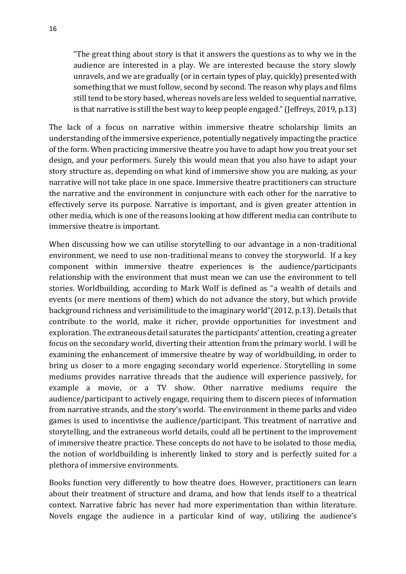"The great thing about story is that it answers the questions as to why we in the audience are interested in a play. We are interested because the story slowly unravels, and we are gradually (or in certain types of play, quickly) presented with something that we must follow, second by second. The reason why plays and films still tend to be story based, whereas novels are less welded to sequential narrative, is that narrative is still the best way to keep people engaged." (Jeffreys, 2019, p.13)

The lack of a focus on narrative within immersive theatre scholarship limits an understanding of the immersive experience, potentially negatively impacting the practice of the form. When practicing immersive theatre you have to adapt how you treat your set design, and your performers. Surely this would mean that you also have to adapt your story structure as, depending on what kind of immersive show you are making, as your narrative will not take place in one space. Immersive theatre practitioners can structure the narrative and the environment in conjuncture with each other for the narrative to effectively serve its purpose. Narrative is important, and is given greater attention in other media, which is one of the reasons looking at how different media can contribute to immersive theatre is important.

When discussing how we can utilise storytelling to our advantage in a non-traditional environment, we need to use non-traditional means to convey the storyworld. If a key component within immersive theatre experiences is the audience/participants relationship with the environment that must mean we can use the environment to tell stories. Worldbuilding, according to Mark Wolf is defined as "a wealth of details and events (or mere mentions of them) which do not advance the story, but which provide background richness and verisimilitude to the imaginary world"(2012, p.13). Details that contribute to the world, make it richer, provide opportunities for investment and exploration. The extraneous detail saturates the participants' attention, creating a greater focus on the secondary world, diverting their attention from the primary world. I will be examining the enhancement of immersive theatre by way of worldbuilding, in order to bring us closer to a more engaging secondary world experience. Storytelling in some mediums provides narrative threads that the audience will experience passively, for example a movie, or a TV show. Other narrative mediums require the audience/participant to actively engage, requiring them to discern pieces of information from narrative strands, and the story's world. The environment in theme parks and video games is used to incentivise the audience/participant. This treatment of narrative and storytelling, and the extraneous world details, could all be pertinent to the improvement of immersive theatre practice. These concepts do not have to be isolated to those media, the notion of worldbuilding is inherently linked to story and is perfectly suited for a plethora of immersive environments.

Books function very differently to how theatre does. However, practitioners can learn about their treatment of structure and drama, and how that lends itself to a theatrical context. Narrative fabric has never had more experimentation than within literature. Novels engage the audience in a particular kind of way, utilizing the audience's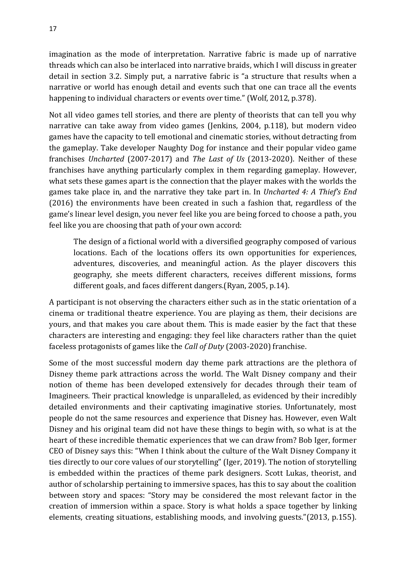imagination as the mode of interpretation. Narrative fabric is made up of narrative threads which can also be interlaced into narrative braids, which I will discuss in greater detail in section 3.2. Simply put, a narrative fabric is "a structure that results when a narrative or world has enough detail and events such that one can trace all the events happening to individual characters or events over time." (Wolf, 2012, p.378).

Not all video games tell stories, and there are plenty of theorists that can tell you why narrative can take away from video games (Jenkins, 2004, p.118), but modern video games have the capacity to tell emotional and cinematic stories, without detracting from the gameplay. Take developer Naughty Dog for instance and their popular video game franchises *Uncharted* (2007-2017) and *The Last of Us* (2013-2020). Neither of these franchises have anything particularly complex in them regarding gameplay. However, what sets these games apart is the connection that the player makes with the worlds the games take place in, and the narrative they take part in. In *Uncharted 4: A Thief's End* (2016) the environments have been created in such a fashion that, regardless of the game's linear level design, you never feel like you are being forced to choose a path, you feel like you are choosing that path of your own accord:

The design of a fictional world with a diversified geography composed of various locations. Each of the locations offers its own opportunities for experiences, adventures, discoveries, and meaningful action. As the player discovers this geography, she meets different characters, receives different missions, forms different goals, and faces different dangers.(Ryan, 2005, p.14).

A participant is not observing the characters either such as in the static orientation of a cinema or traditional theatre experience. You are playing as them, their decisions are yours, and that makes you care about them. This is made easier by the fact that these characters are interesting and engaging: they feel like characters rather than the quiet faceless protagonists of games like the *Call of Duty* (2003-2020) franchise.

Some of the most successful modern day theme park attractions are the plethora of Disney theme park attractions across the world. The Walt Disney company and their notion of theme has been developed extensively for decades through their team of Imagineers. Their practical knowledge is unparalleled, as evidenced by their incredibly detailed environments and their captivating imaginative stories. Unfortunately, most people do not the same resources and experience that Disney has. However, even Walt Disney and his original team did not have these things to begin with, so what is at the heart of these incredible thematic experiences that we can draw from? Bob Iger, former CEO of Disney says this: "When I think about the culture of the Walt Disney Company it ties directly to our core values of our storytelling" (Iger, 2019). The notion of storytelling is embedded within the practices of theme park designers. Scott Lukas, theorist, and author of scholarship pertaining to immersive spaces, has this to say about the coalition between story and spaces: "Story may be considered the most relevant factor in the creation of immersion within a space. Story is what holds a space together by linking elements, creating situations, establishing moods, and involving guests."(2013, p.155).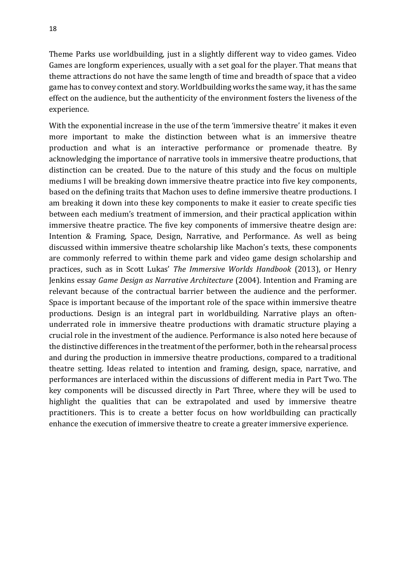Theme Parks use worldbuilding, just in a slightly different way to video games. Video Games are longform experiences, usually with a set goal for the player. That means that theme attractions do not have the same length of time and breadth of space that a video game has to convey context and story. Worldbuilding works the same way, it has the same effect on the audience, but the authenticity of the environment fosters the liveness of the experience.

With the exponential increase in the use of the term 'immersive theatre' it makes it even more important to make the distinction between what is an immersive theatre production and what is an interactive performance or promenade theatre. By acknowledging the importance of narrative tools in immersive theatre productions, that distinction can be created. Due to the nature of this study and the focus on multiple mediums I will be breaking down immersive theatre practice into five key components, based on the defining traits that Machon uses to define immersive theatre productions. I am breaking it down into these key components to make it easier to create specific ties between each medium's treatment of immersion, and their practical application within immersive theatre practice. The five key components of immersive theatre design are: Intention & Framing, Space, Design, Narrative, and Performance. As well as being discussed within immersive theatre scholarship like Machon's texts, these components are commonly referred to within theme park and video game design scholarship and practices, such as in Scott Lukas' *The Immersive Worlds Handbook* (2013), or Henry Jenkins essay *Game Design as Narrative Architecture* (2004). Intention and Framing are relevant because of the contractual barrier between the audience and the performer. Space is important because of the important role of the space within immersive theatre productions. Design is an integral part in worldbuilding. Narrative plays an oftenunderrated role in immersive theatre productions with dramatic structure playing a crucial role in the investment of the audience. Performance is also noted here because of the distinctive differences in the treatment of the performer, both in the rehearsal process and during the production in immersive theatre productions, compared to a traditional theatre setting. Ideas related to intention and framing, design, space, narrative, and performances are interlaced within the discussions of different media in Part Two. The key components will be discussed directly in Part Three, where they will be used to highlight the qualities that can be extrapolated and used by immersive theatre practitioners. This is to create a better focus on how worldbuilding can practically enhance the execution of immersive theatre to create a greater immersive experience.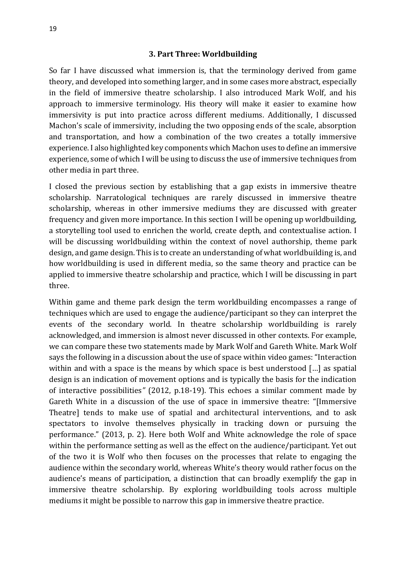#### **3. Part Three: Worldbuilding**

So far I have discussed what immersion is, that the terminology derived from game theory, and developed into something larger, and in some cases more abstract, especially in the field of immersive theatre scholarship. I also introduced Mark Wolf, and his approach to immersive terminology. His theory will make it easier to examine how immersivity is put into practice across different mediums. Additionally, I discussed Machon's scale of immersivity, including the two opposing ends of the scale, absorption and transportation, and how a combination of the two creates a totally immersive experience. I also highlighted key components which Machon uses to define an immersive experience, some of which I will be using to discuss the use of immersive techniques from other media in part three.

I closed the previous section by establishing that a gap exists in immersive theatre scholarship. Narratological techniques are rarely discussed in immersive theatre scholarship, whereas in other immersive mediums they are discussed with greater frequency and given more importance. In this section I will be opening up worldbuilding, a storytelling tool used to enrichen the world, create depth, and contextualise action. I will be discussing worldbuilding within the context of novel authorship, theme park design, and game design. This is to create an understanding of what worldbuilding is, and how worldbuilding is used in different media, so the same theory and practice can be applied to immersive theatre scholarship and practice, which I will be discussing in part three.

Within game and theme park design the term worldbuilding encompasses a range of techniques which are used to engage the audience/participant so they can interpret the events of the secondary world. In theatre scholarship worldbuilding is rarely acknowledged, and immersion is almost never discussed in other contexts. For example, we can compare these two statements made by Mark Wolf and Gareth White. Mark Wolf says the following in a discussion about the use of space within video games: "Interaction within and with a space is the means by which space is best understood […] as spatial design is an indication of movement options and is typically the basis for the indication of interactive possibilities*"* (2012, p.18-19). This echoes a similar comment made by Gareth White in a discussion of the use of space in immersive theatre: "[Immersive Theatre] tends to make use of spatial and architectural interventions, and to ask spectators to involve themselves physically in tracking down or pursuing the performance." (2013, p. 2). Here both Wolf and White acknowledge the role of space within the performance setting as well as the effect on the audience/participant. Yet out of the two it is Wolf who then focuses on the processes that relate to engaging the audience within the secondary world, whereas White's theory would rather focus on the audience's means of participation, a distinction that can broadly exemplify the gap in immersive theatre scholarship. By exploring worldbuilding tools across multiple mediums it might be possible to narrow this gap in immersive theatre practice.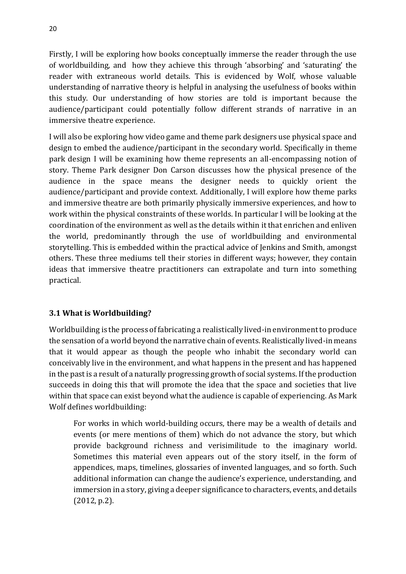Firstly, I will be exploring how books conceptually immerse the reader through the use of worldbuilding, and how they achieve this through 'absorbing' and 'saturating' the reader with extraneous world details. This is evidenced by Wolf, whose valuable understanding of narrative theory is helpful in analysing the usefulness of books within this study. Our understanding of how stories are told is important because the audience/participant could potentially follow different strands of narrative in an immersive theatre experience.

I will also be exploring how video game and theme park designers use physical space and design to embed the audience/participant in the secondary world. Specifically in theme park design I will be examining how theme represents an all-encompassing notion of story. Theme Park designer Don Carson discusses how the physical presence of the audience in the space means the designer needs to quickly orient the audience/participant and provide context. Additionally, I will explore how theme parks and immersive theatre are both primarily physically immersive experiences, and how to work within the physical constraints of these worlds. In particular I will be looking at the coordination of the environment as well as the details within it that enrichen and enliven the world, predominantly through the use of worldbuilding and environmental storytelling. This is embedded within the practical advice of Jenkins and Smith, amongst others. These three mediums tell their stories in different ways; however, they contain ideas that immersive theatre practitioners can extrapolate and turn into something practical.

## **3.1 What is Worldbuilding?**

Worldbuilding is the process of fabricating a realistically lived-in environment to produce the sensation of a world beyond the narrative chain of events. Realistically lived-in means that it would appear as though the people who inhabit the secondary world can conceivably live in the environment, and what happens in the present and has happened in the past is a result of a naturally progressing growth of social systems. If the production succeeds in doing this that will promote the idea that the space and societies that live within that space can exist beyond what the audience is capable of experiencing. As Mark Wolf defines worldbuilding:

For works in which world-building occurs, there may be a wealth of details and events (or mere mentions of them) which do not advance the story, but which provide background richness and verisimilitude to the imaginary world. Sometimes this material even appears out of the story itself, in the form of appendices, maps, timelines, glossaries of invented languages, and so forth. Such additional information can change the audience's experience, understanding, and immersion in a story, giving a deeper significance to characters, events, and details (2012, p.2).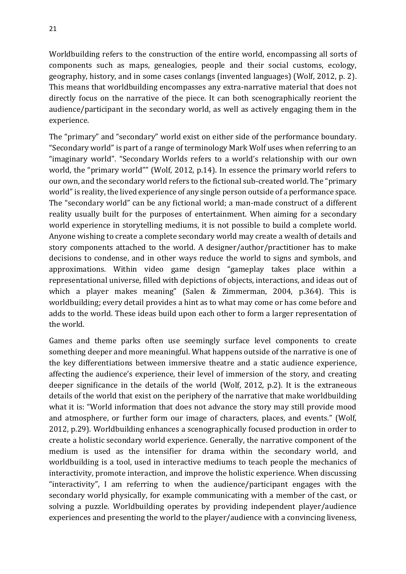Worldbuilding refers to the construction of the entire world, encompassing all sorts of components such as maps, genealogies, people and their social customs, ecology, geography, history, and in some cases conlangs (invented languages) (Wolf, 2012, p. 2). This means that worldbuilding encompasses any extra-narrative material that does not directly focus on the narrative of the piece. It can both scenographically reorient the audience/participant in the secondary world, as well as actively engaging them in the experience.

The "primary" and "secondary" world exist on either side of the performance boundary. "Secondary world" is part of a range of terminology Mark Wolf uses when referring to an "imaginary world". "Secondary Worlds refers to a world's relationship with our own world, the "primary world"" (Wolf, 2012, p.14). In essence the primary world refers to our own, and the secondary world refers to the fictional sub-created world. The "primary world" is reality, the lived experience of any single person outside of a performance space. The "secondary world" can be any fictional world; a man-made construct of a different reality usually built for the purposes of entertainment. When aiming for a secondary world experience in storytelling mediums, it is not possible to build a complete world. Anyone wishing to create a complete secondary world may create a wealth of details and story components attached to the world. A designer/author/practitioner has to make decisions to condense, and in other ways reduce the world to signs and symbols, and approximations. Within video game design "gameplay takes place within a representational universe, filled with depictions of objects, interactions, and ideas out of which a player makes meaning" (Salen & Zimmerman, 2004, p.364). This is worldbuilding; every detail provides a hint as to what may come or has come before and adds to the world. These ideas build upon each other to form a larger representation of the world.

Games and theme parks often use seemingly surface level components to create something deeper and more meaningful. What happens outside of the narrative is one of the key differentiations between immersive theatre and a static audience experience, affecting the audience's experience, their level of immersion of the story, and creating deeper significance in the details of the world (Wolf, 2012, p.2). It is the extraneous details of the world that exist on the periphery of the narrative that make worldbuilding what it is: "World information that does not advance the story may still provide mood and atmosphere, or further form our image of characters, places, and events." (Wolf, 2012, p.29). Worldbuilding enhances a scenographically focused production in order to create a holistic secondary world experience. Generally, the narrative component of the medium is used as the intensifier for drama within the secondary world, and worldbuilding is a tool, used in interactive mediums to teach people the mechanics of interactivity, promote interaction, and improve the holistic experience. When discussing "interactivity", I am referring to when the audience/participant engages with the secondary world physically, for example communicating with a member of the cast, or solving a puzzle. Worldbuilding operates by providing independent player/audience experiences and presenting the world to the player/audience with a convincing liveness,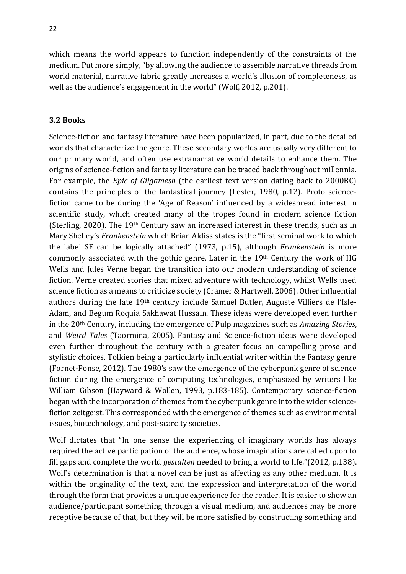which means the world appears to function independently of the constraints of the medium. Put more simply, "by allowing the audience to assemble narrative threads from world material, narrative fabric greatly increases a world's illusion of completeness, as well as the audience's engagement in the world" (Wolf, 2012, p.201).

#### **3.2 Books**

Science-fiction and fantasy literature have been popularized, in part, due to the detailed worlds that characterize the genre. These secondary worlds are usually very different to our primary world, and often use extranarrative world details to enhance them. The origins of science-fiction and fantasy literature can be traced back throughout millennia. For example, the *Epic of Gilgamesh* (the earliest text version dating back to 2000BC) contains the principles of the fantastical journey (Lester, 1980, p.12). Proto sciencefiction came to be during the 'Age of Reason' influenced by a widespread interest in scientific study, which created many of the tropes found in modern science fiction (Sterling, 2020). The 19th Century saw an increased interest in these trends, such as in Mary Shelley's *Frankenstein* which Brian Aldiss states is the "first seminal work to which the label SF can be logically attached" (1973, p.15), although *Frankenstein* is more commonly associated with the gothic genre. Later in the 19th Century the work of HG Wells and Jules Verne began the transition into our modern understanding of science fiction. Verne created stories that mixed adventure with technology, whilst Wells used science fiction as a means to criticize society (Cramer & Hartwell, 2006). Other influential authors during the late 19th century include Samuel Butler, Auguste Villiers de I'Isle-Adam, and Begum Roquia Sakhawat Hussain. These ideas were developed even further in the 20th Century, including the emergence of Pulp magazines such as *Amazing Stories*, and *Weird Tales* (Taormina, 2005). Fantasy and Science-fiction ideas were developed even further throughout the century with a greater focus on compelling prose and stylistic choices, Tolkien being a particularly influential writer within the Fantasy genre (Fornet-Ponse, 2012). The 1980's saw the emergence of the cyberpunk genre of science fiction during the emergence of computing technologies, emphasized by writers like William Gibson (Hayward & Wollen, 1993, p.183-185). Contemporary science-fiction began with the incorporation of themes from the cyberpunk genre into the wider sciencefiction zeitgeist. This corresponded with the emergence of themes such as environmental issues, biotechnology, and post-scarcity societies.

Wolf dictates that "In one sense the experiencing of imaginary worlds has always required the active participation of the audience, whose imaginations are called upon to fill gaps and complete the world *gestalten* needed to bring a world to life*.*"(2012, p.138). Wolf's determination is that a novel can be just as affecting as any other medium. It is within the originality of the text, and the expression and interpretation of the world through the form that provides a unique experience for the reader. It is easier to show an audience/participant something through a visual medium, and audiences may be more receptive because of that, but they will be more satisfied by constructing something and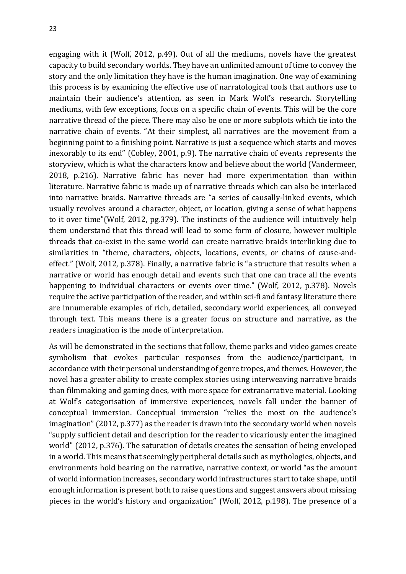engaging with it (Wolf, 2012, p.49). Out of all the mediums, novels have the greatest capacity to build secondary worlds. They have an unlimited amount of time to convey the story and the only limitation they have is the human imagination. One way of examining this process is by examining the effective use of narratological tools that authors use to maintain their audience's attention, as seen in Mark Wolf's research. Storytelling mediums, with few exceptions, focus on a specific chain of events. This will be the core narrative thread of the piece. There may also be one or more subplots which tie into the narrative chain of events. "At their simplest, all narratives are the movement from a beginning point to a finishing point. Narrative is just a sequence which starts and moves inexorably to its end" (Cobley, 2001, p.9). The narrative chain of events represents the storyview, which is what the characters know and believe about the world (Vandermeer, 2018, p.216). Narrative fabric has never had more experimentation than within literature. Narrative fabric is made up of narrative threads which can also be interlaced into narrative braids. Narrative threads are "a series of causally-linked events, which usually revolves around a character, object, or location, giving a sense of what happens to it over time"(Wolf, 2012, pg.379). The instincts of the audience will intuitively help them understand that this thread will lead to some form of closure, however multiple threads that co-exist in the same world can create narrative braids interlinking due to similarities in "theme, characters, objects, locations, events, or chains of cause-andeffect*.*" (Wolf, 2012, p.378). Finally, a narrative fabric is "a structure that results when a narrative or world has enough detail and events such that one can trace all the events happening to individual characters or events over time." (Wolf, 2012, p.378). Novels require the active participation of the reader, and within sci-fi and fantasy literature there are innumerable examples of rich, detailed, secondary world experiences, all conveyed through text. This means there is a greater focus on structure and narrative, as the readers imagination is the mode of interpretation.

As will be demonstrated in the sections that follow, theme parks and video games create symbolism that evokes particular responses from the audience/participant, in accordance with their personal understanding of genre tropes, and themes. However, the novel has a greater ability to create complex stories using interweaving narrative braids than filmmaking and gaming does, with more space for extranarrative material. Looking at Wolf's categorisation of immersive experiences, novels fall under the banner of conceptual immersion. Conceptual immersion "relies the most on the audience's imagination" (2012, p.377) as the reader is drawn into the secondary world when novels "supply sufficient detail and description for the reader to vicariously enter the imagined world" (2012, p.376). The saturation of details creates the sensation of being enveloped in a world. This means that seemingly peripheral details such as mythologies, objects, and environments hold bearing on the narrative, narrative context, or world "as the amount of world information increases, secondary world infrastructures start to take shape, until enough information is present both to raise questions and suggest answers about missing pieces in the world's history and organization" (Wolf, 2012, p.198). The presence of a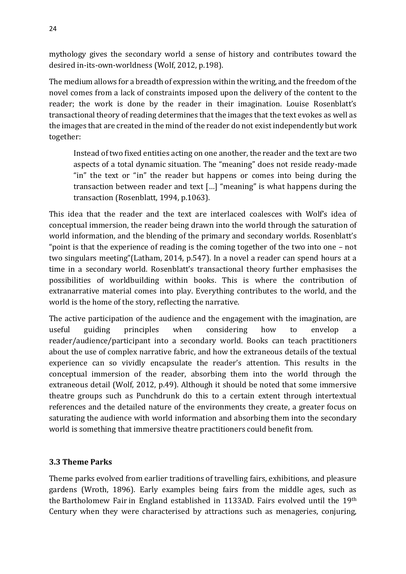mythology gives the secondary world a sense of history and contributes toward the desired in-its-own-worldness (Wolf, 2012, p.198).

The medium allows for a breadth of expression within the writing, and the freedom of the novel comes from a lack of constraints imposed upon the delivery of the content to the reader; the work is done by the reader in their imagination. Louise Rosenblatt's transactional theory of reading determines that the images that the text evokes as well as the images that are created in the mind of the reader do not exist independently but work together:

Instead of two fixed entities acting on one another, the reader and the text are two aspects of a total dynamic situation. The "meaning" does not reside ready-made "in" the text or "in" the reader but happens or comes into being during the transaction between reader and text […] "meaning" is what happens during the transaction (Rosenblatt, 1994, p.1063).

This idea that the reader and the text are interlaced coalesces with Wolf's idea of conceptual immersion, the reader being drawn into the world through the saturation of world information, and the blending of the primary and secondary worlds. Rosenblatt's "point is that the experience of reading is the coming together of the two into one – not two singulars meeting"(Latham, 2014, p.547). In a novel a reader can spend hours at a time in a secondary world. Rosenblatt's transactional theory further emphasises the possibilities of worldbuilding within books. This is where the contribution of extranarrative material comes into play. Everything contributes to the world, and the world is the home of the story, reflecting the narrative.

The active participation of the audience and the engagement with the imagination, are useful guiding principles when considering how to envelop a reader/audience/participant into a secondary world. Books can teach practitioners about the use of complex narrative fabric, and how the extraneous details of the textual experience can so vividly encapsulate the reader's attention. This results in the conceptual immersion of the reader, absorbing them into the world through the extraneous detail (Wolf, 2012, p.49). Although it should be noted that some immersive theatre groups such as Punchdrunk do this to a certain extent through intertextual references and the detailed nature of the environments they create, a greater focus on saturating the audience with world information and absorbing them into the secondary world is something that immersive theatre practitioners could benefit from.

## **3.3 Theme Parks**

Theme parks evolved from earlier traditions of travelling fairs, exhibitions, and pleasure gardens (Wroth, 1896). Early examples being fairs from the middle ages, such as the Bartholomew Fair in England established in 1133AD. Fairs evolved until the 19th Century when they were characterised by attractions such as menageries, conjuring,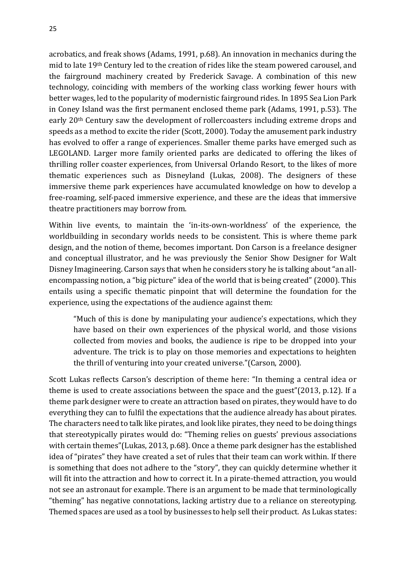acrobatics, and freak shows (Adams, 1991, p.68). An innovation in mechanics during the mid to late 19th Century led to the creation of rides like the steam powered carousel, and the fairground machinery created by Frederick Savage. A combination of this new technology, coinciding with members of the working class working fewer hours with better wages, led to the popularity of modernistic fairground rides. In 1895 Sea Lion Park in Coney Island was the first permanent enclosed theme park (Adams, 1991, p.53). The early 20th Century saw the development of rollercoasters including extreme drops and speeds as a method to excite the rider (Scott, 2000). Today the amusement park industry has evolved to offer a range of experiences. Smaller theme parks have emerged such as LEGOLAND. Larger more family oriented parks are dedicated to offering the likes of thrilling roller coaster experiences, from Universal Orlando Resort, to the likes of more thematic experiences such as Disneyland (Lukas, 2008). The designers of these immersive theme park experiences have accumulated knowledge on how to develop a free-roaming, self-paced immersive experience, and these are the ideas that immersive theatre practitioners may borrow from.

Within live events, to maintain the 'in-its-own-worldness' of the experience, the worldbuilding in secondary worlds needs to be consistent. This is where theme park design, and the notion of theme, becomes important. Don Carson is a freelance designer and conceptual illustrator, and he was previously the Senior Show Designer for Walt Disney Imagineering. Carson says that when he considers story he is talking about "an allencompassing notion, a "big picture" idea of the world that is being created" (2000). This entails using a specific thematic pinpoint that will determine the foundation for the experience, using the expectations of the audience against them:

"Much of this is done by manipulating your audience's expectations, which they have based on their own experiences of the physical world, and those visions collected from movies and books, the audience is ripe to be dropped into your adventure. The trick is to play on those memories and expectations to heighten the thrill of venturing into your created universe."(Carson, 2000)*.*

Scott Lukas reflects Carson's description of theme here: "In theming a central idea or theme is used to create associations between the space and the guest"(2013, p.12). If a theme park designer were to create an attraction based on pirates, they would have to do everything they can to fulfil the expectations that the audience already has about pirates. The characters need to talk like pirates, and look like pirates, they need to be doing things that stereotypically pirates would do: "Theming relies on guests' previous associations with certain themes"(Lukas, 2013, p.68). Once a theme park designer has the established idea of "pirates" they have created a set of rules that their team can work within. If there is something that does not adhere to the "story", they can quickly determine whether it will fit into the attraction and how to correct it. In a pirate-themed attraction, you would not see an astronaut for example. There is an argument to be made that terminologically "theming" has negative connotations, lacking artistry due to a reliance on stereotyping. Themed spaces are used as a tool by businesses to help sell their product. As Lukas states: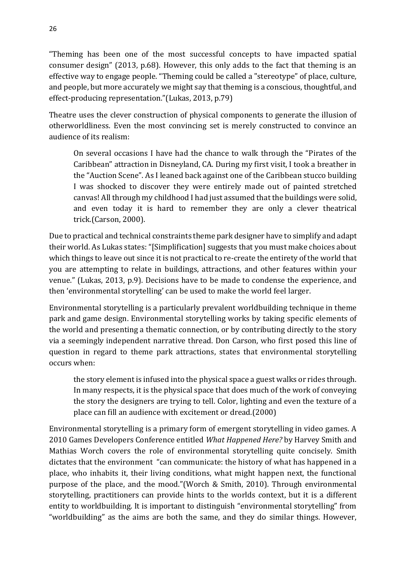"Theming has been one of the most successful concepts to have impacted spatial consumer design" (2013, p.68). However, this only adds to the fact that theming is an effective way to engage people. "Theming could be called a "stereotype" of place, culture, and people, but more accurately we might say that theming is a conscious, thoughtful, and effect-producing representation."(Lukas, 2013, p.79)

Theatre uses the clever construction of physical components to generate the illusion of otherworldliness. Even the most convincing set is merely constructed to convince an audience of its realism:

On several occasions I have had the chance to walk through the "Pirates of the Caribbean" attraction in Disneyland, CA. During my first visit, I took a breather in the "Auction Scene". As I leaned back against one of the Caribbean stucco building I was shocked to discover they were entirely made out of painted stretched canvas! All through my childhood I had just assumed that the buildings were solid, and even today it is hard to remember they are only a clever theatrical trick.(Carson, 2000).

Due to practical and technical constraints theme park designer have to simplify and adapt their world. As Lukas states: "[Simplification] suggests that you must make choices about which things to leave out since it is not practical to re-create the entirety of the world that you are attempting to relate in buildings, attractions, and other features within your venue." (Lukas, 2013, p.9). Decisions have to be made to condense the experience, and then 'environmental storytelling' can be used to make the world feel larger.

Environmental storytelling is a particularly prevalent worldbuilding technique in theme park and game design. Environmental storytelling works by taking specific elements of the world and presenting a thematic connection, or by contributing directly to the story via a seemingly independent narrative thread. Don Carson, who first posed this line of question in regard to theme park attractions, states that environmental storytelling occurs when:

the story element is infused into the physical space a guest walks or rides through. In many respects, it is the physical space that does much of the work of conveying the story the designers are trying to tell. Color, lighting and even the texture of a place can fill an audience with excitement or dread.(2000)

Environmental storytelling is a primary form of emergent storytelling in video games. A 2010 Games Developers Conference entitled *What Happened Here?* by Harvey Smith and Mathias Worch covers the role of environmental storytelling quite concisely. Smith dictates that the environment "can communicate: the history of what has happened in a place, who inhabits it, their living conditions, what might happen next, the functional purpose of the place, and the mood."(Worch & Smith, 2010). Through environmental storytelling, practitioners can provide hints to the worlds context, but it is a different entity to worldbuilding. It is important to distinguish "environmental storytelling" from "worldbuilding" as the aims are both the same, and they do similar things. However,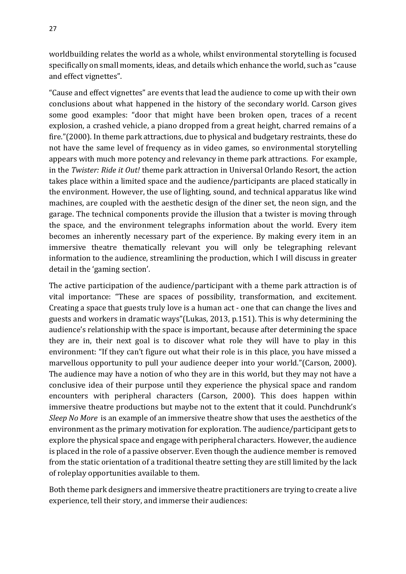worldbuilding relates the world as a whole, whilst environmental storytelling is focused specifically on small moments, ideas, and details which enhance the world, such as "cause and effect vignettes".

"Cause and effect vignettes" are events that lead the audience to come up with their own conclusions about what happened in the history of the secondary world. Carson gives some good examples: "door that might have been broken open, traces of a recent explosion, a crashed vehicle, a piano dropped from a great height, charred remains of a fire."(2000). In theme park attractions, due to physical and budgetary restraints, these do not have the same level of frequency as in video games, so environmental storytelling appears with much more potency and relevancy in theme park attractions. For example, in the *Twister: Ride it Out!* theme park attraction in Universal Orlando Resort, the action takes place within a limited space and the audience/participants are placed statically in the environment. However, the use of lighting, sound, and technical apparatus like wind machines, are coupled with the aesthetic design of the diner set, the neon sign, and the garage. The technical components provide the illusion that a twister is moving through the space, and the environment telegraphs information about the world. Every item becomes an inherently necessary part of the experience. By making every item in an immersive theatre thematically relevant you will only be telegraphing relevant information to the audience, streamlining the production, which I will discuss in greater detail in the 'gaming section'.

The active participation of the audience/participant with a theme park attraction is of vital importance: "These are spaces of possibility, transformation, and excitement. Creating a space that guests truly love is a human act - one that can change the lives and guests and workers in dramatic ways"(Lukas, 2013, p.151). This is why determining the audience's relationship with the space is important, because after determining the space they are in, their next goal is to discover what role they will have to play in this environment: "If they can't figure out what their role is in this place, you have missed a marvellous opportunity to pull your audience deeper into your world."(Carson, 2000). The audience may have a notion of who they are in this world, but they may not have a conclusive idea of their purpose until they experience the physical space and random encounters with peripheral characters (Carson, 2000). This does happen within immersive theatre productions but maybe not to the extent that it could. Punchdrunk's *Sleep No More* is an example of an immersive theatre show that uses the aesthetics of the environment as the primary motivation for exploration. The audience/participant gets to explore the physical space and engage with peripheral characters. However, the audience is placed in the role of a passive observer. Even though the audience member is removed from the static orientation of a traditional theatre setting they are still limited by the lack of roleplay opportunities available to them.

Both theme park designers and immersive theatre practitioners are trying to create a live experience, tell their story, and immerse their audiences: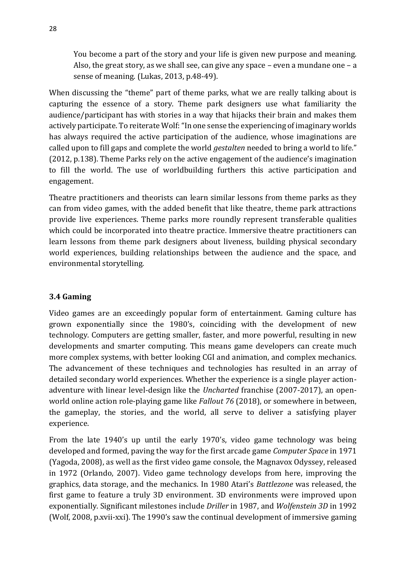You become a part of the story and your life is given new purpose and meaning. Also, the great story, as we shall see, can give any space – even a mundane one – a sense of meaning. (Lukas, 2013, p.48-49).

When discussing the "theme" part of theme parks, what we are really talking about is capturing the essence of a story. Theme park designers use what familiarity the audience/participant has with stories in a way that hijacks their brain and makes them actively participate. To reiterate Wolf: "In one sense the experiencing of imaginary worlds has always required the active participation of the audience, whose imaginations are called upon to fill gaps and complete the world *gestalten* needed to bring a world to life." (2012, p.138). Theme Parks rely on the active engagement of the audience's imagination to fill the world. The use of worldbuilding furthers this active participation and engagement.

Theatre practitioners and theorists can learn similar lessons from theme parks as they can from video games, with the added benefit that like theatre, theme park attractions provide live experiences. Theme parks more roundly represent transferable qualities which could be incorporated into theatre practice. Immersive theatre practitioners can learn lessons from theme park designers about liveness, building physical secondary world experiences, building relationships between the audience and the space, and environmental storytelling.

## **3.4 Gaming**

Video games are an exceedingly popular form of entertainment. Gaming culture has grown exponentially since the 1980's, coinciding with the development of new technology. Computers are getting smaller, faster, and more powerful, resulting in new developments and smarter computing. This means game developers can create much more complex systems, with better looking CGI and animation, and complex mechanics. The advancement of these techniques and technologies has resulted in an array of detailed secondary world experiences. Whether the experience is a single player actionadventure with linear level-design like the *Uncharted* franchise (2007-2017), an openworld online action role-playing game like *Fallout 76* (2018), or somewhere in between, the gameplay, the stories, and the world, all serve to deliver a satisfying player experience.

From the late 1940's up until the early 1970's, video game technology was being developed and formed, paving the way for the first arcade game *Computer Space* in 1971 (Yagoda, 2008), as well as the first video game console, the Magnavox Odyssey, released in 1972 (Orlando, 2007). Video game technology develops from here, improving the graphics, data storage, and the mechanics. In 1980 Atari's *Battlezone* was released, the first game to feature a truly 3D environment. 3D environments were improved upon exponentially. Significant milestones include *Driller* in 1987, and *Wolfenstein 3D* in 1992 (Wolf, 2008, p.xvii-xxi). The 1990's saw the continual development of immersive gaming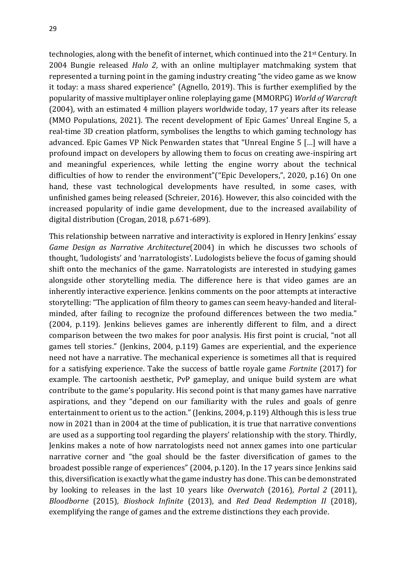technologies, along with the benefit of internet, which continued into the 21st Century. In 2004 Bungie released *Halo 2*, with an online multiplayer matchmaking system that represented a turning point in the gaming industry creating "the video game as we know it today: a mass shared experience" (Agnello, 2019). This is further exemplified by the popularity of massive multiplayer online roleplaying game (MMORPG) *World of Warcraft*  (2004), with an estimated 4 million players worldwide today, 17 years after its release (MMO Populations, 2021). The recent development of Epic Games' Unreal Engine 5, a real-time 3D creation platform, symbolises the lengths to which gaming technology has advanced. Epic Games VP Nick Penwarden states that "Unreal Engine 5 […] will have a profound impact on developers by allowing them to focus on creating awe-inspiring art and meaningful experiences, while letting the engine worry about the technical difficulties of how to render the environment"("Epic Developers,", 2020, p.16) On one hand, these vast technological developments have resulted, in some cases, with unfinished games being released (Schreier, 2016). However, this also coincided with the increased popularity of indie game development, due to the increased availability of digital distribution (Crogan, 2018, p.671-689).

This relationship between narrative and interactivity is explored in Henry Jenkins' essay *Game Design as Narrative Architecture*(2004) in which he discusses two schools of thought, 'ludologists' and 'narratologists'. Ludologists believe the focus of gaming should shift onto the mechanics of the game. Narratologists are interested in studying games alongside other storytelling media. The difference here is that video games are an inherently interactive experience. Jenkins comments on the poor attempts at interactive storytelling: "The application of film theory to games can seem heavy-handed and literalminded, after failing to recognize the profound differences between the two media." (2004, p.119). Jenkins believes games are inherently different to film, and a direct comparison between the two makes for poor analysis. His first point is crucial, "not all games tell stories." (Jenkins, 2004, p.119) Games are experiential, and the experience need not have a narrative. The mechanical experience is sometimes all that is required for a satisfying experience. Take the success of battle royale game *Fortnite* (2017) for example. The cartoonish aesthetic, PvP gameplay, and unique build system are what contribute to the game's popularity. His second point is that many games have narrative aspirations, and they "depend on our familiarity with the rules and goals of genre entertainment to orient us to the action." (Jenkins, 2004, p.119) Although this is less true now in 2021 than in 2004 at the time of publication, it is true that narrative conventions are used as a supporting tool regarding the players' relationship with the story. Thirdly, Jenkins makes a note of how narratologists need not annex games into one particular narrative corner and "the goal should be the faster diversification of games to the broadest possible range of experiences" (2004, p.120). In the 17 years since Jenkins said this, diversification is exactly what the game industry has done. This can be demonstrated by looking to releases in the last 10 years like *Overwatch* (2016), *Portal 2* (2011), *Bloodborne* (2015), *Bioshock Infinite* (2013), and *Red Dead Redemption II* (2018), exemplifying the range of games and the extreme distinctions they each provide.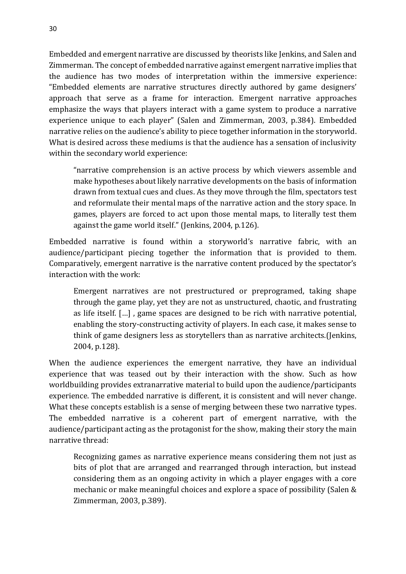Embedded and emergent narrative are discussed by theorists like Jenkins, and Salen and Zimmerman. The concept of embedded narrative against emergent narrative implies that the audience has two modes of interpretation within the immersive experience: "Embedded elements are narrative structures directly authored by game designers' approach that serve as a frame for interaction. Emergent narrative approaches emphasize the ways that players interact with a game system to produce a narrative experience unique to each player" (Salen and Zimmerman, 2003, p.384). Embedded narrative relies on the audience's ability to piece together information in the storyworld. What is desired across these mediums is that the audience has a sensation of inclusivity within the secondary world experience:

"narrative comprehension is an active process by which viewers assemble and make hypotheses about likely narrative developments on the basis of information drawn from textual cues and clues. As they move through the film, spectators test and reformulate their mental maps of the narrative action and the story space. In games, players are forced to act upon those mental maps, to literally test them against the game world itself." (Jenkins, 2004, p.126).

Embedded narrative is found within a storyworld's narrative fabric, with an audience/participant piecing together the information that is provided to them. Comparatively, emergent narrative is the narrative content produced by the spectator's interaction with the work:

Emergent narratives are not prestructured or preprogramed, taking shape through the game play, yet they are not as unstructured, chaotic, and frustrating as life itself. […] , game spaces are designed to be rich with narrative potential, enabling the story-constructing activity of players. In each case, it makes sense to think of game designers less as storytellers than as narrative architects.(Jenkins, 2004, p.128).

When the audience experiences the emergent narrative, they have an individual experience that was teased out by their interaction with the show. Such as how worldbuilding provides extranarrative material to build upon the audience/participants experience. The embedded narrative is different, it is consistent and will never change. What these concepts establish is a sense of merging between these two narrative types. The embedded narrative is a coherent part of emergent narrative, with the audience/participant acting as the protagonist for the show, making their story the main narrative thread:

Recognizing games as narrative experience means considering them not just as bits of plot that are arranged and rearranged through interaction, but instead considering them as an ongoing activity in which a player engages with a core mechanic or make meaningful choices and explore a space of possibility (Salen & Zimmerman, 2003, p.389).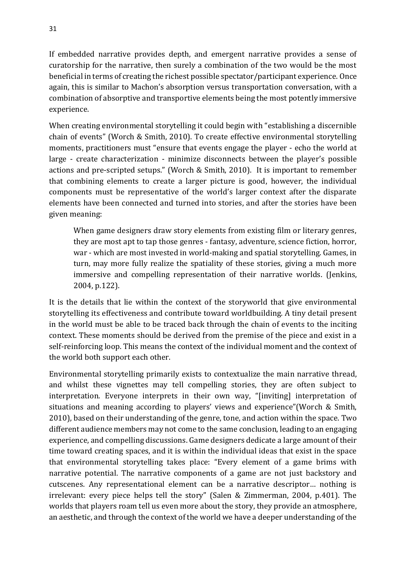If embedded narrative provides depth, and emergent narrative provides a sense of curatorship for the narrative, then surely a combination of the two would be the most beneficial in terms of creating the richest possible spectator/participant experience. Once again, this is similar to Machon's absorption versus transportation conversation, with a combination of absorptive and transportive elements being the most potently immersive experience.

When creating environmental storytelling it could begin with "establishing a discernible chain of events" (Worch & Smith, 2010). To create effective environmental storytelling moments, practitioners must "ensure that events engage the player - echo the world at large - create characterization - minimize disconnects between the player's possible actions and pre-scripted setups." (Worch & Smith, 2010). It is important to remember that combining elements to create a larger picture is good, however, the individual components must be representative of the world's larger context after the disparate elements have been connected and turned into stories, and after the stories have been given meaning:

When game designers draw story elements from existing film or literary genres, they are most apt to tap those genres - fantasy, adventure, science fiction, horror, war - which are most invested in world-making and spatial storytelling. Games, in turn, may more fully realize the spatiality of these stories, giving a much more immersive and compelling representation of their narrative worlds. (Jenkins, 2004, p.122).

It is the details that lie within the context of the storyworld that give environmental storytelling its effectiveness and contribute toward worldbuilding. A tiny detail present in the world must be able to be traced back through the chain of events to the inciting context. These moments should be derived from the premise of the piece and exist in a self-reinforcing loop. This means the context of the individual moment and the context of the world both support each other.

Environmental storytelling primarily exists to contextualize the main narrative thread, and whilst these vignettes may tell compelling stories, they are often subject to interpretation. Everyone interprets in their own way, "[inviting] interpretation of situations and meaning according to players' views and experience"(Worch & Smith, 2010), based on their understanding of the genre, tone, and action within the space. Two different audience members may not come to the same conclusion, leading to an engaging experience, and compelling discussions. Game designers dedicate a large amount of their time toward creating spaces, and it is within the individual ideas that exist in the space that environmental storytelling takes place: "Every element of a game brims with narrative potential. The narrative components of a game are not just backstory and cutscenes. Any representational element can be a narrative descriptor… nothing is irrelevant: every piece helps tell the story" (Salen & Zimmerman, 2004, p.401). The worlds that players roam tell us even more about the story, they provide an atmosphere, an aesthetic, and through the context of the world we have a deeper understanding of the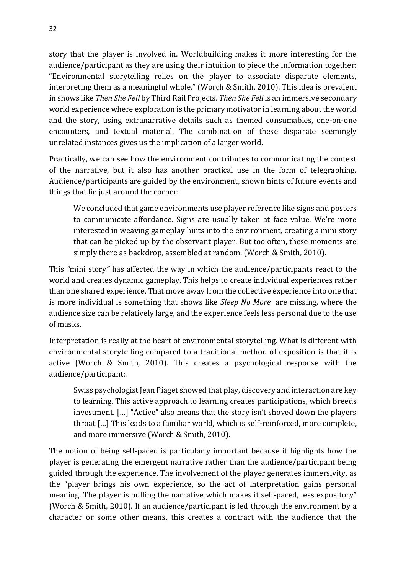story that the player is involved in. Worldbuilding makes it more interesting for the audience/participant as they are using their intuition to piece the information together: "Environmental storytelling relies on the player to associate disparate elements, interpreting them as a meaningful whole." (Worch & Smith, 2010). This idea is prevalent in shows like *Then She Fell* by Third Rail Projects. *Then She Fell* is an immersive secondary world experience where exploration is the primary motivator in learning about the world and the story, using extranarrative details such as themed consumables, one-on-one encounters, and textual material. The combination of these disparate seemingly unrelated instances gives us the implication of a larger world.

Practically, we can see how the environment contributes to communicating the context of the narrative, but it also has another practical use in the form of telegraphing. Audience/participants are guided by the environment, shown hints of future events and things that lie just around the corner:

We concluded that game environments use player reference like signs and posters to communicate affordance. Signs are usually taken at face value. We're more interested in weaving gameplay hints into the environment, creating a mini story that can be picked up by the observant player. But too often, these moments are simply there as backdrop, assembled at random. (Worch & Smith, 2010).

This *"*mini story*"* has affected the way in which the audience/participants react to the world and creates dynamic gameplay. This helps to create individual experiences rather than one shared experience. That move away from the collective experience into one that is more individual is something that shows like *Sleep No More* are missing, where the audience size can be relatively large, and the experience feels less personal due to the use of masks.

Interpretation is really at the heart of environmental storytelling. What is different with environmental storytelling compared to a traditional method of exposition is that it is active (Worch & Smith, 2010). This creates a psychological response with the audience/participant:.

Swiss psychologist Jean Piaget showed that play, discovery and interaction are key to learning. This active approach to learning creates participations, which breeds investment. […] "Active" also means that the story isn't shoved down the players throat […] This leads to a familiar world, which is self-reinforced, more complete, and more immersive (Worch & Smith, 2010).

The notion of being self-paced is particularly important because it highlights how the player is generating the emergent narrative rather than the audience/participant being guided through the experience. The involvement of the player generates immersivity, as the "player brings his own experience, so the act of interpretation gains personal meaning. The player is pulling the narrative which makes it self-paced, less expository" (Worch & Smith, 2010). If an audience/participant is led through the environment by a character or some other means, this creates a contract with the audience that the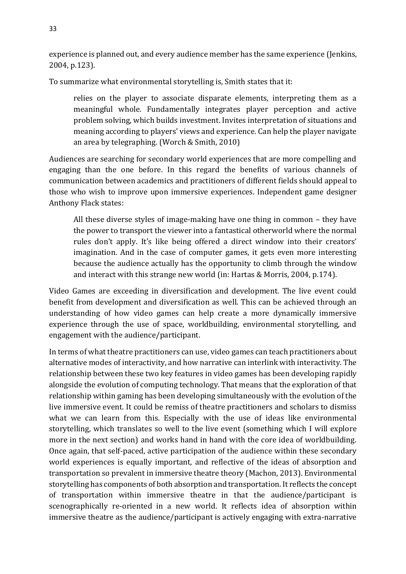experience is planned out, and every audience member has the same experience (Jenkins, 2004, p.123).

To summarize what environmental storytelling is, Smith states that it:

relies on the player to associate disparate elements, interpreting them as a meaningful whole. Fundamentally integrates player perception and active problem solving, which builds investment. Invites interpretation of situations and meaning according to players' views and experience. Can help the player navigate an area by telegraphing. (Worch & Smith, 2010)

Audiences are searching for secondary world experiences that are more compelling and engaging than the one before. In this regard the benefits of various channels of communication between academics and practitioners of different fields should appeal to those who wish to improve upon immersive experiences. Independent game designer Anthony Flack states:

All these diverse styles of image-making have one thing in common – they have the power to transport the viewer into a fantastical otherworld where the normal rules don't apply. It's like being offered a direct window into their creators' imagination. And in the case of computer games, it gets even more interesting because the audience actually has the opportunity to climb through the window and interact with this strange new world (in: Hartas & Morris, 2004, p.174).

Video Games are exceeding in diversification and development. The live event could benefit from development and diversification as well. This can be achieved through an understanding of how video games can help create a more dynamically immersive experience through the use of space, worldbuilding, environmental storytelling, and engagement with the audience/participant.

In terms of what theatre practitioners can use, video games can teach practitioners about alternative modes of interactivity, and how narrative can interlink with interactivity. The relationship between these two key features in video games has been developing rapidly alongside the evolution of computing technology. That means that the exploration of that relationship within gaming has been developing simultaneously with the evolution of the live immersive event. It could be remiss of theatre practitioners and scholars to dismiss what we can learn from this. Especially with the use of ideas like environmental storytelling, which translates so well to the live event (something which I will explore more in the next section) and works hand in hand with the core idea of worldbuilding. Once again, that self-paced, active participation of the audience within these secondary world experiences is equally important, and reflective of the ideas of absorption and transportation so prevalent in immersive theatre theory (Machon, 2013). Environmental storytelling has components of both absorption and transportation. It reflects the concept of transportation within immersive theatre in that the audience/participant is scenographically re-oriented in a new world. It reflects idea of absorption within immersive theatre as the audience/participant is actively engaging with extra-narrative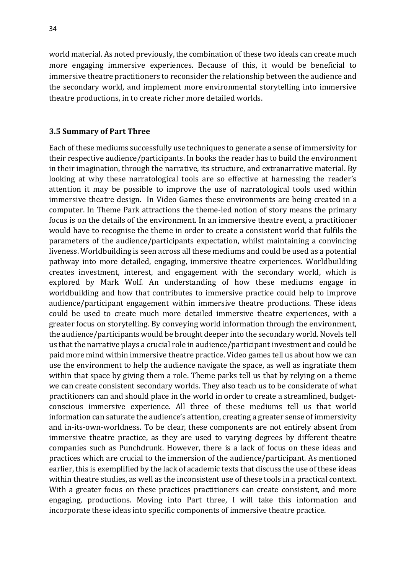world material. As noted previously, the combination of these two ideals can create much more engaging immersive experiences. Because of this, it would be beneficial to immersive theatre practitioners to reconsider the relationship between the audience and the secondary world, and implement more environmental storytelling into immersive theatre productions, in to create richer more detailed worlds.

#### **3.5 Summary of Part Three**

Each of these mediums successfully use techniques to generate a sense of immersivity for their respective audience/participants. In books the reader has to build the environment in their imagination, through the narrative, its structure, and extranarrative material. By looking at why these narratological tools are so effective at harnessing the reader's attention it may be possible to improve the use of narratological tools used within immersive theatre design. In Video Games these environments are being created in a computer. In Theme Park attractions the theme-led notion of story means the primary focus is on the details of the environment. In an immersive theatre event, a practitioner would have to recognise the theme in order to create a consistent world that fulfils the parameters of the audience/participants expectation, whilst maintaining a convincing liveness. Worldbuilding is seen across all these mediums and could be used as a potential pathway into more detailed, engaging, immersive theatre experiences. Worldbuilding creates investment, interest, and engagement with the secondary world, which is explored by Mark Wolf. An understanding of how these mediums engage in worldbuilding and how that contributes to immersive practice could help to improve audience/participant engagement within immersive theatre productions. These ideas could be used to create much more detailed immersive theatre experiences, with a greater focus on storytelling. By conveying world information through the environment, the audience/participants would be brought deeper into the secondary world. Novels tell us that the narrative plays a crucial role in audience/participant investment and could be paid more mind within immersive theatre practice. Video games tell us about how we can use the environment to help the audience navigate the space, as well as ingratiate them within that space by giving them a role. Theme parks tell us that by relying on a theme we can create consistent secondary worlds. They also teach us to be considerate of what practitioners can and should place in the world in order to create a streamlined, budgetconscious immersive experience. All three of these mediums tell us that world information can saturate the audience's attention, creating a greater sense of immersivity and in-its-own-worldness. To be clear, these components are not entirely absent from immersive theatre practice, as they are used to varying degrees by different theatre companies such as Punchdrunk. However, there is a lack of focus on these ideas and practices which are crucial to the immersion of the audience/participant. As mentioned earlier, this is exemplified by the lack of academic texts that discuss the use of these ideas within theatre studies, as well as the inconsistent use of these tools in a practical context. With a greater focus on these practices practitioners can create consistent, and more engaging, productions. Moving into Part three, I will take this information and incorporate these ideas into specific components of immersive theatre practice.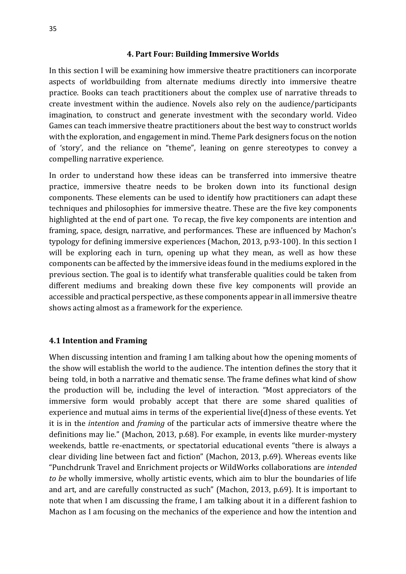#### **4. Part Four: Building Immersive Worlds**

In this section I will be examining how immersive theatre practitioners can incorporate aspects of worldbuilding from alternate mediums directly into immersive theatre practice. Books can teach practitioners about the complex use of narrative threads to create investment within the audience. Novels also rely on the audience/participants imagination, to construct and generate investment with the secondary world. Video Games can teach immersive theatre practitioners about the best way to construct worlds with the exploration, and engagement in mind. Theme Park designers focus on the notion of 'story', and the reliance on "theme", leaning on genre stereotypes to convey a compelling narrative experience.

In order to understand how these ideas can be transferred into immersive theatre practice, immersive theatre needs to be broken down into its functional design components. These elements can be used to identify how practitioners can adapt these techniques and philosophies for immersive theatre. These are the five key components highlighted at the end of part one. To recap, the five key components are intention and framing, space, design, narrative, and performances. These are influenced by Machon's typology for defining immersive experiences (Machon, 2013, p.93-100). In this section I will be exploring each in turn, opening up what they mean, as well as how these components can be affected by the immersive ideas found in the mediums explored in the previous section. The goal is to identify what transferable qualities could be taken from different mediums and breaking down these five key components will provide an accessible and practical perspective, as these components appear in all immersive theatre shows acting almost as a framework for the experience.

#### **4.1 Intention and Framing**

When discussing intention and framing I am talking about how the opening moments of the show will establish the world to the audience. The intention defines the story that it being told, in both a narrative and thematic sense. The frame defines what kind of show the production will be, including the level of interaction. "Most appreciators of the immersive form would probably accept that there are some shared qualities of experience and mutual aims in terms of the experiential live(d)ness of these events. Yet it is in the *intention* and *framing* of the particular acts of immersive theatre where the definitions may lie." (Machon, 2013, p.68). For example, in events like murder-mystery weekends, battle re-enactments, or spectatorial educational events "there is always a clear dividing line between fact and fiction" (Machon, 2013, p.69). Whereas events like "Punchdrunk Travel and Enrichment projects or WildWorks collaborations are *intended to be* wholly immersive, wholly artistic events, which aim to blur the boundaries of life and art, and are carefully constructed as such" (Machon, 2013, p.69). It is important to note that when I am discussing the frame, I am talking about it in a different fashion to Machon as I am focusing on the mechanics of the experience and how the intention and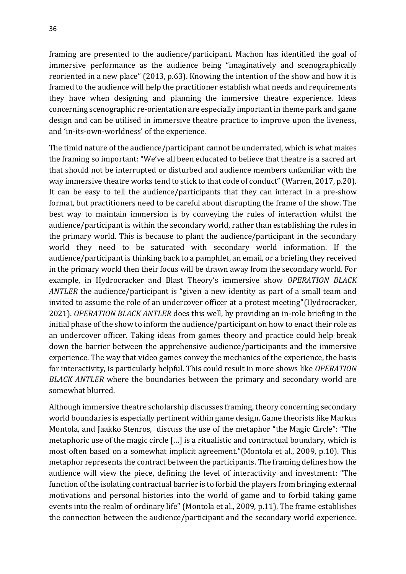framing are presented to the audience/participant. Machon has identified the goal of immersive performance as the audience being "imaginatively and scenographically reoriented in a new place" (2013, p.63). Knowing the intention of the show and how it is framed to the audience will help the practitioner establish what needs and requirements they have when designing and planning the immersive theatre experience. Ideas concerning scenographic re-orientation are especially important in theme park and game design and can be utilised in immersive theatre practice to improve upon the liveness, and 'in-its-own-worldness' of the experience.

The timid nature of the audience/participant cannot be underrated, which is what makes the framing so important: "We've all been educated to believe that theatre is a sacred art that should not be interrupted or disturbed and audience members unfamiliar with the way immersive theatre works tend to stick to that code of conduct" (Warren, 2017, p.20). It can be easy to tell the audience/participants that they can interact in a pre-show format, but practitioners need to be careful about disrupting the frame of the show. The best way to maintain immersion is by conveying the rules of interaction whilst the audience/participant is within the secondary world, rather than establishing the rules in the primary world. This is because to plant the audience/participant in the secondary world they need to be saturated with secondary world information. If the audience/participant is thinking back to a pamphlet, an email, or a briefing they received in the primary world then their focus will be drawn away from the secondary world. For example, in Hydrocracker and Blast Theory's immersive show *OPERATION BLACK ANTLER* the audience/participant is "given a new identity as part of a small team and invited to assume the role of an undercover officer at a protest meeting"(Hydrocracker, 2021). *OPERATION BLACK ANTLER* does this well, by providing an in-role briefing in the initial phase of the show to inform the audience/participant on how to enact their role as an undercover officer. Taking ideas from games theory and practice could help break down the barrier between the apprehensive audience/participants and the immersive experience. The way that video games convey the mechanics of the experience, the basis for interactivity, is particularly helpful. This could result in more shows like *OPERATION BLACK ANTLER* where the boundaries between the primary and secondary world are somewhat blurred.

Although immersive theatre scholarship discusses framing, theory concerning secondary world boundaries is especially pertinent within game design. Game theorists like Markus Montola, and Jaakko Stenros, discuss the use of the metaphor "the Magic Circle": "The metaphoric use of the magic circle […] is a ritualistic and contractual boundary, which is most often based on a somewhat implicit agreement."(Montola et al., 2009, p.10). This metaphor represents the contract between the participants. The framing defines how the audience will view the piece, defining the level of interactivity and investment: "The function of the isolating contractual barrier is to forbid the players from bringing external motivations and personal histories into the world of game and to forbid taking game events into the realm of ordinary life" (Montola et al., 2009, p.11). The frame establishes the connection between the audience/participant and the secondary world experience.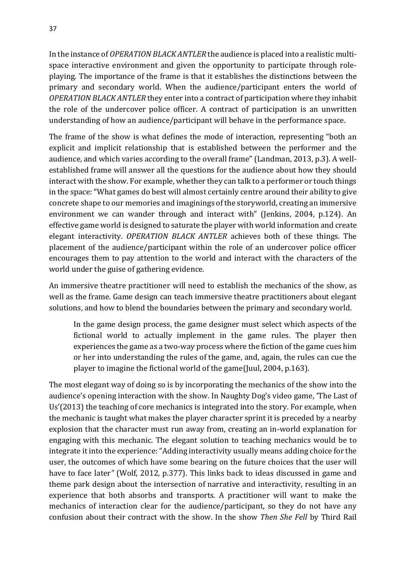In the instance of *OPERATION BLACK ANTLER* the audience is placed into a realistic multispace interactive environment and given the opportunity to participate through roleplaying. The importance of the frame is that it establishes the distinctions between the primary and secondary world. When the audience/participant enters the world of *OPERATION BLACK ANTLER* they enter into a contract of participation where they inhabit the role of the undercover police officer. A contract of participation is an unwritten understanding of how an audience/participant will behave in the performance space.

The frame of the show is what defines the mode of interaction, representing "both an explicit and implicit relationship that is established between the performer and the audience, and which varies according to the overall frame" (Landman, 2013, p.3). A wellestablished frame will answer all the questions for the audience about how they should interact with the show. For example, whether they can talk to a performer or touch things in the space: "What games do best will almost certainly centre around their ability to give concrete shape to our memories and imaginings of the storyworld, creating an immersive environment we can wander through and interact with" (Jenkins, 2004, p.124). An effective game world is designed to saturate the player with world information and create elegant interactivity. *OPERATION BLACK ANTLER* achieves both of these things. The placement of the audience/participant within the role of an undercover police officer encourages them to pay attention to the world and interact with the characters of the world under the guise of gathering evidence.

An immersive theatre practitioner will need to establish the mechanics of the show, as well as the frame. Game design can teach immersive theatre practitioners about elegant solutions, and how to blend the boundaries between the primary and secondary world.

In the game design process, the game designer must select which aspects of the fictional world to actually implement in the game rules. The player then experiences the game as a two-way process where the fiction of the game cues him or her into understanding the rules of the game, and, again, the rules can cue the player to imagine the fictional world of the game(Juul, 2004, p.163).

The most elegant way of doing so is by incorporating the mechanics of the show into the audience's opening interaction with the show. In Naughty Dog's video game, 'The Last of Us'(2013) the teaching of core mechanics is integrated into the story. For example, when the mechanic is taught what makes the player character sprint it is preceded by a nearby explosion that the character must run away from, creating an in-world explanation for engaging with this mechanic. The elegant solution to teaching mechanics would be to integrate it into the experience: "Adding interactivity usually means adding choice for the user, the outcomes of which have some bearing on the future choices that the user will have to face later*"* (Wolf, 2012, p.377). This links back to ideas discussed in game and theme park design about the intersection of narrative and interactivity, resulting in an experience that both absorbs and transports. A practitioner will want to make the mechanics of interaction clear for the audience/participant, so they do not have any confusion about their contract with the show. In the show *Then She Fell* by Third Rail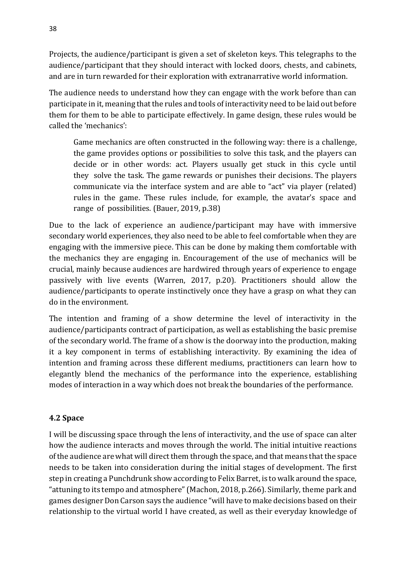Projects, the audience/participant is given a set of skeleton keys. This telegraphs to the audience/participant that they should interact with locked doors, chests, and cabinets, and are in turn rewarded for their exploration with extranarrative world information.

The audience needs to understand how they can engage with the work before than can participate in it, meaning that the rules and tools of interactivity need to be laid out before them for them to be able to participate effectively. In game design, these rules would be called the 'mechanics':

Game mechanics are often constructed in the following way: there is a challenge, the game provides options or possibilities to solve this task, and the players can decide or in other words: act. Players usually get stuck in this cycle until they solve the task. The game rewards or punishes their decisions. The players communicate via the interface system and are able to "act" via player (related) rules in the game. These rules include, for example, the avatar's space and range of possibilities. (Bauer, 2019, p.38)

Due to the lack of experience an audience/participant may have with immersive secondary world experiences, they also need to be able to feel comfortable when they are engaging with the immersive piece. This can be done by making them comfortable with the mechanics they are engaging in. Encouragement of the use of mechanics will be crucial, mainly because audiences are hardwired through years of experience to engage passively with live events (Warren, 2017, p.20). Practitioners should allow the audience/participants to operate instinctively once they have a grasp on what they can do in the environment.

The intention and framing of a show determine the level of interactivity in the audience/participants contract of participation, as well as establishing the basic premise of the secondary world. The frame of a show is the doorway into the production, making it a key component in terms of establishing interactivity. By examining the idea of intention and framing across these different mediums, practitioners can learn how to elegantly blend the mechanics of the performance into the experience, establishing modes of interaction in a way which does not break the boundaries of the performance.

## **4.2 Space**

I will be discussing space through the lens of interactivity, and the use of space can alter how the audience interacts and moves through the world. The initial intuitive reactions of the audience are what will direct them through the space, and that means that the space needs to be taken into consideration during the initial stages of development. The first step in creating a Punchdrunk show according to Felix Barret, is to walk around the space, "attuning to its tempo and atmosphere" (Machon, 2018, p.266). Similarly, theme park and games designer Don Carson says the audience "will have to make decisions based on their relationship to the virtual world I have created, as well as their everyday knowledge of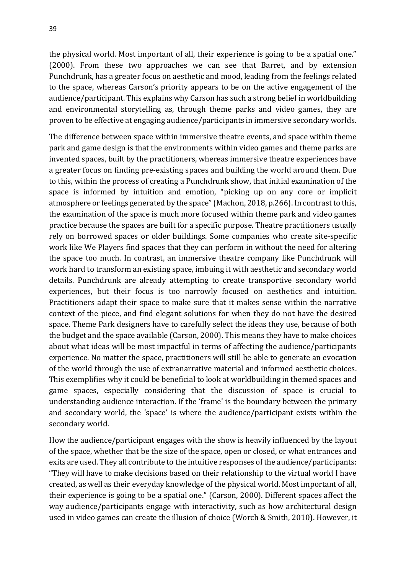the physical world. Most important of all, their experience is going to be a spatial one." (2000). From these two approaches we can see that Barret, and by extension Punchdrunk, has a greater focus on aesthetic and mood, leading from the feelings related to the space, whereas Carson's priority appears to be on the active engagement of the audience/participant. This explains why Carson has such a strong belief in worldbuilding and environmental storytelling as, through theme parks and video games, they are proven to be effective at engaging audience/participants in immersive secondary worlds.

The difference between space within immersive theatre events, and space within theme park and game design is that the environments within video games and theme parks are invented spaces, built by the practitioners, whereas immersive theatre experiences have a greater focus on finding pre-existing spaces and building the world around them. Due to this, within the process of creating a Punchdrunk show, that initial examination of the space is informed by intuition and emotion, "picking up on any core or implicit atmosphere or feelings generated by the space" (Machon, 2018, p.266). In contrast to this, the examination of the space is much more focused within theme park and video games practice because the spaces are built for a specific purpose. Theatre practitioners usually rely on borrowed spaces or older buildings. Some companies who create site-specific work like We Players find spaces that they can perform in without the need for altering the space too much. In contrast, an immersive theatre company like Punchdrunk will work hard to transform an existing space, imbuing it with aesthetic and secondary world details. Punchdrunk are already attempting to create transportive secondary world experiences, but their focus is too narrowly focused on aesthetics and intuition. Practitioners adapt their space to make sure that it makes sense within the narrative context of the piece, and find elegant solutions for when they do not have the desired space. Theme Park designers have to carefully select the ideas they use, because of both the budget and the space available (Carson, 2000). This means they have to make choices about what ideas will be most impactful in terms of affecting the audience/participants experience. No matter the space, practitioners will still be able to generate an evocation of the world through the use of extranarrative material and informed aesthetic choices. This exemplifies why it could be beneficial to look at worldbuilding in themed spaces and game spaces, especially considering that the discussion of space is crucial to understanding audience interaction. If the 'frame' is the boundary between the primary and secondary world, the 'space' is where the audience/participant exists within the secondary world.

How the audience/participant engages with the show is heavily influenced by the layout of the space, whether that be the size of the space, open or closed, or what entrances and exits are used. They all contribute to the intuitive responses of the audience/participants: "They will have to make decisions based on their relationship to the virtual world I have created, as well as their everyday knowledge of the physical world. Most important of all, their experience is going to be a spatial one." (Carson, 2000). Different spaces affect the way audience/participants engage with interactivity, such as how architectural design used in video games can create the illusion of choice (Worch & Smith, 2010). However, it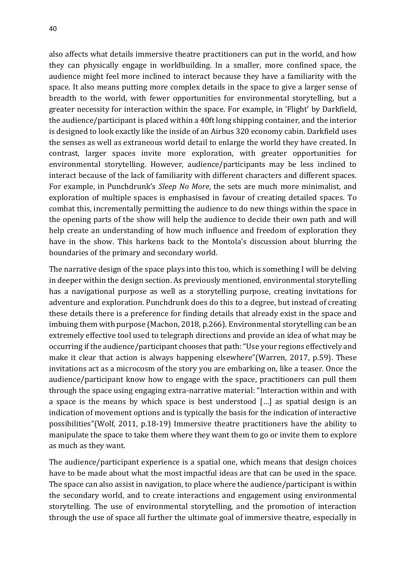also affects what details immersive theatre practitioners can put in the world, and how they can physically engage in worldbuilding. In a smaller, more confined space, the audience might feel more inclined to interact because they have a familiarity with the space. It also means putting more complex details in the space to give a larger sense of breadth to the world, with fewer opportunities for environmental storytelling, but a greater necessity for interaction within the space. For example, in 'Flight' by Darkfield, the audience/participant is placed within a 40ft long shipping container, and the interior is designed to look exactly like the inside of an Airbus 320 economy cabin. Darkfield uses the senses as well as extraneous world detail to enlarge the world they have created. In contrast, larger spaces invite more exploration, with greater opportunities for environmental storytelling. However, audience/participants may be less inclined to interact because of the lack of familiarity with different characters and different spaces. For example, in Punchdrunk's *Sleep No More*, the sets are much more minimalist, and exploration of multiple spaces is emphasised in favour of creating detailed spaces. To combat this, incrementally permitting the audience to do new things within the space in the opening parts of the show will help the audience to decide their own path and will help create an understanding of how much influence and freedom of exploration they have in the show. This harkens back to the Montola's discussion about blurring the boundaries of the primary and secondary world.

The narrative design of the space plays into this too, which is something I will be delving in deeper within the design section. As previously mentioned, environmental storytelling has a navigational purpose as well as a storytelling purpose, creating invitations for adventure and exploration. Punchdrunk does do this to a degree, but instead of creating these details there is a preference for finding details that already exist in the space and imbuing them with purpose (Machon, 2018, p.266). Environmental storytelling can be an extremely effective tool used to telegraph directions and provide an idea of what may be occurring if the audience/participant chooses that path: "Use your regions effectively and make it clear that action is always happening elsewhere"(Warren, 2017, p.59). These invitations act as a microcosm of the story you are embarking on, like a teaser. Once the audience/participant know how to engage with the space, practitioners can pull them through the space using engaging extra-narrative material: "Interaction within and with a space is the means by which space is best understood […] as spatial design is an indication of movement options and is typically the basis for the indication of interactive possibilities"(Wolf, 2011, p.18-19) Immersive theatre practitioners have the ability to manipulate the space to take them where they want them to go or invite them to explore as much as they want.

The audience/participant experience is a spatial one, which means that design choices have to be made about what the most impactful ideas are that can be used in the space. The space can also assist in navigation, to place where the audience/participant is within the secondary world, and to create interactions and engagement using environmental storytelling. The use of environmental storytelling, and the promotion of interaction through the use of space all further the ultimate goal of immersive theatre, especially in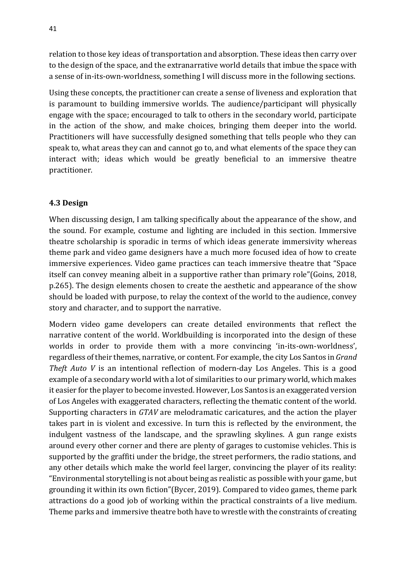relation to those key ideas of transportation and absorption. These ideas then carry over to the design of the space, and the extranarrative world details that imbue the space with a sense of in-its-own-worldness, something I will discuss more in the following sections.

Using these concepts, the practitioner can create a sense of liveness and exploration that is paramount to building immersive worlds. The audience/participant will physically engage with the space; encouraged to talk to others in the secondary world, participate in the action of the show, and make choices, bringing them deeper into the world. Practitioners will have successfully designed something that tells people who they can speak to, what areas they can and cannot go to, and what elements of the space they can interact with; ideas which would be greatly beneficial to an immersive theatre practitioner.

## **4.3 Design**

When discussing design, I am talking specifically about the appearance of the show, and the sound. For example, costume and lighting are included in this section. Immersive theatre scholarship is sporadic in terms of which ideas generate immersivity whereas theme park and video game designers have a much more focused idea of how to create immersive experiences. Video game practices can teach immersive theatre that "Space itself can convey meaning albeit in a supportive rather than primary role"(Goins, 2018, p.265). The design elements chosen to create the aesthetic and appearance of the show should be loaded with purpose, to relay the context of the world to the audience, convey story and character, and to support the narrative.

Modern video game developers can create detailed environments that reflect the narrative content of the world. Worldbuilding is incorporated into the design of these worlds in order to provide them with a more convincing 'in-its-own-worldness', regardless of their themes, narrative, or content. For example, the city Los Santos in *Grand Theft Auto V* is an intentional reflection of modern-day Los Angeles. This is a good example of a secondary world with a lot of similarities to our primary world, which makes it easier for the player to become invested. However, Los Santos is an exaggerated version of Los Angeles with exaggerated characters, reflecting the thematic content of the world. Supporting characters in *GTAV* are melodramatic caricatures, and the action the player takes part in is violent and excessive. In turn this is reflected by the environment, the indulgent vastness of the landscape, and the sprawling skylines. A gun range exists around every other corner and there are plenty of garages to customise vehicles. This is supported by the graffiti under the bridge, the street performers, the radio stations, and any other details which make the world feel larger, convincing the player of its reality: "Environmental storytelling is not about being as realistic as possible with your game, but grounding it within its own fiction"(Bycer, 2019). Compared to video games, theme park attractions do a good job of working within the practical constraints of a live medium. Theme parks and immersive theatre both have to wrestle with the constraints of creating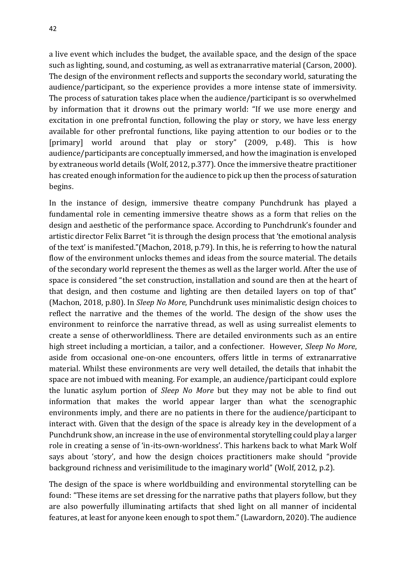a live event which includes the budget, the available space, and the design of the space such as lighting, sound, and costuming, as well as extranarrative material (Carson, 2000). The design of the environment reflects and supports the secondary world, saturating the audience/participant, so the experience provides a more intense state of immersivity. The process of saturation takes place when the audience/participant is so overwhelmed by information that it drowns out the primary world: "If we use more energy and excitation in one prefrontal function, following the play or story, we have less energy available for other prefrontal functions, like paying attention to our bodies or to the [primary] world around that play or story" (2009, p.48). This is how audience/participants are conceptually immersed, and how the imagination is enveloped by extraneous world details (Wolf, 2012, p.377). Once the immersive theatre practitioner has created enough information for the audience to pick up then the process of saturation begins.

In the instance of design, immersive theatre company Punchdrunk has played a fundamental role in cementing immersive theatre shows as a form that relies on the design and aesthetic of the performance space. According to Punchdrunk's founder and artistic director Felix Barret "it is through the design process that 'the emotional analysis of the text' is manifested."(Machon, 2018, p.79). In this, he is referring to how the natural flow of the environment unlocks themes and ideas from the source material. The details of the secondary world represent the themes as well as the larger world. After the use of space is considered "the set construction, installation and sound are then at the heart of that design, and then costume and lighting are then detailed layers on top of that" (Machon, 2018, p.80). In *Sleep No More*, Punchdrunk uses minimalistic design choices to reflect the narrative and the themes of the world. The design of the show uses the environment to reinforce the narrative thread, as well as using surrealist elements to create a sense of otherworldliness. There are detailed environments such as an entire high street including a mortician, a tailor, and a confectioner. However, *Sleep No More*, aside from occasional one-on-one encounters, offers little in terms of extranarrative material. Whilst these environments are very well detailed, the details that inhabit the space are not imbued with meaning. For example, an audience/participant could explore the lunatic asylum portion of *Sleep No More* but they may not be able to find out information that makes the world appear larger than what the scenographic environments imply, and there are no patients in there for the audience/participant to interact with. Given that the design of the space is already key in the development of a Punchdrunk show, an increase in the use of environmental storytelling could play a larger role in creating a sense of 'in-its-own-worldness'. This harkens back to what Mark Wolf says about 'story', and how the design choices practitioners make should "provide background richness and verisimilitude to the imaginary world" (Wolf, 2012, p.2).

The design of the space is where worldbuilding and environmental storytelling can be found: "These items are set dressing for the narrative paths that players follow, but they are also powerfully illuminating artifacts that shed light on all manner of incidental features, at least for anyone keen enough to spot them." (Lawardorn, 2020). The audience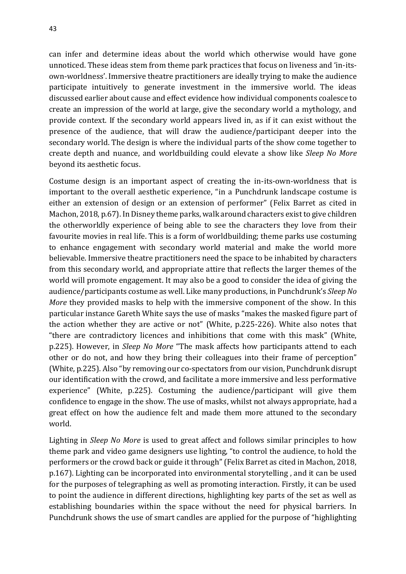can infer and determine ideas about the world which otherwise would have gone unnoticed. These ideas stem from theme park practices that focus on liveness and 'in-itsown-worldness'. Immersive theatre practitioners are ideally trying to make the audience participate intuitively to generate investment in the immersive world. The ideas discussed earlier about cause and effect evidence how individual components coalesce to create an impression of the world at large, give the secondary world a mythology, and provide context. If the secondary world appears lived in, as if it can exist without the presence of the audience, that will draw the audience/participant deeper into the secondary world. The design is where the individual parts of the show come together to create depth and nuance, and worldbuilding could elevate a show like *Sleep No More* beyond its aesthetic focus.

Costume design is an important aspect of creating the in-its-own-worldness that is important to the overall aesthetic experience, "in a Punchdrunk landscape costume is either an extension of design or an extension of performer" (Felix Barret as cited in Machon, 2018, p.67). In Disney theme parks, walk around characters exist to give children the otherworldly experience of being able to see the characters they love from their favourite movies in real life. This is a form of worldbuilding; theme parks use costuming to enhance engagement with secondary world material and make the world more believable. Immersive theatre practitioners need the space to be inhabited by characters from this secondary world, and appropriate attire that reflects the larger themes of the world will promote engagement. It may also be a good to consider the idea of giving the audience/participants costume as well. Like many productions, in Punchdrunk's *Sleep No More* they provided masks to help with the immersive component of the show. In this particular instance Gareth White says the use of masks "makes the masked figure part of the action whether they are active or not" (White, p.225-226). White also notes that "there are contradictory licences and inhibitions that come with this mask" (White, p.225). However, in *Sleep No More* "The mask affects how participants attend to each other or do not, and how they bring their colleagues into their frame of perception" (White, p.225). Also "by removing our co-spectators from our vision, Punchdrunk disrupt our identification with the crowd, and facilitate a more immersive and less performative experience" (White, p.225). Costuming the audience/participant will give them confidence to engage in the show. The use of masks, whilst not always appropriate, had a great effect on how the audience felt and made them more attuned to the secondary world.

Lighting in *Sleep No More* is used to great affect and follows similar principles to how theme park and video game designers use lighting, "to control the audience, to hold the performers or the crowd back or guide it through" (Felix Barret as cited in Machon, 2018, p.167). Lighting can be incorporated into environmental storytelling , and it can be used for the purposes of telegraphing as well as promoting interaction. Firstly, it can be used to point the audience in different directions, highlighting key parts of the set as well as establishing boundaries within the space without the need for physical barriers. In Punchdrunk shows the use of smart candles are applied for the purpose of "highlighting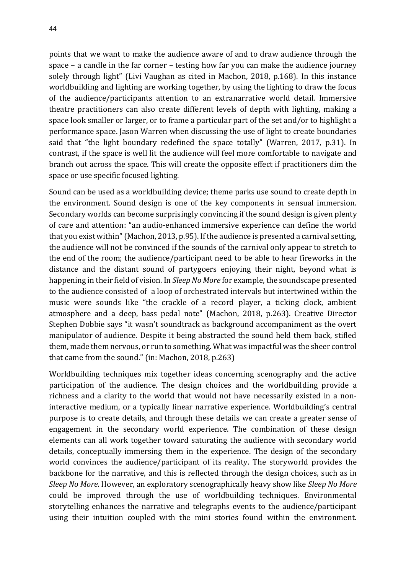points that we want to make the audience aware of and to draw audience through the space – a candle in the far corner – testing how far you can make the audience journey solely through light" (Livi Vaughan as cited in Machon, 2018, p.168). In this instance worldbuilding and lighting are working together, by using the lighting to draw the focus of the audience/participants attention to an extranarrative world detail. Immersive theatre practitioners can also create different levels of depth with lighting, making a space look smaller or larger, or to frame a particular part of the set and/or to highlight a performance space. Jason Warren when discussing the use of light to create boundaries said that "the light boundary redefined the space totally" (Warren, 2017, p.31). In contrast, if the space is well lit the audience will feel more comfortable to navigate and branch out across the space. This will create the opposite effect if practitioners dim the space or use specific focused lighting.

Sound can be used as a worldbuilding device; theme parks use sound to create depth in the environment. Sound design is one of the key components in sensual immersion. Secondary worlds can become surprisingly convincing if the sound design is given plenty of care and attention: "an audio-enhanced immersive experience can define the world that you exist within" (Machon, 2013, p.95). If the audience is presented a carnival setting, the audience will not be convinced if the sounds of the carnival only appear to stretch to the end of the room; the audience/participant need to be able to hear fireworks in the distance and the distant sound of partygoers enjoying their night, beyond what is happening in their field of vision. In *Sleep No More* for example, the soundscape presented to the audience consisted of a loop of orchestrated intervals but intertwined within the music were sounds like "the crackle of a record player, a ticking clock, ambient atmosphere and a deep, bass pedal note" (Machon, 2018, p.263). Creative Director Stephen Dobbie says "it wasn't soundtrack as background accompaniment as the overt manipulator of audience. Despite it being abstracted the sound held them back, stifled them, made them nervous, or run to something. What was impactful was the sheer control that came from the sound." (in: Machon, 2018, p.263)

Worldbuilding techniques mix together ideas concerning scenography and the active participation of the audience. The design choices and the worldbuilding provide a richness and a clarity to the world that would not have necessarily existed in a noninteractive medium, or a typically linear narrative experience. Worldbuilding's central purpose is to create details, and through these details we can create a greater sense of engagement in the secondary world experience. The combination of these design elements can all work together toward saturating the audience with secondary world details, conceptually immersing them in the experience. The design of the secondary world convinces the audience/participant of its reality. The storyworld provides the backbone for the narrative, and this is reflected through the design choices, such as in *Sleep No More*. However, an exploratory scenographically heavy show like *Sleep No More* could be improved through the use of worldbuilding techniques. Environmental storytelling enhances the narrative and telegraphs events to the audience/participant using their intuition coupled with the mini stories found within the environment.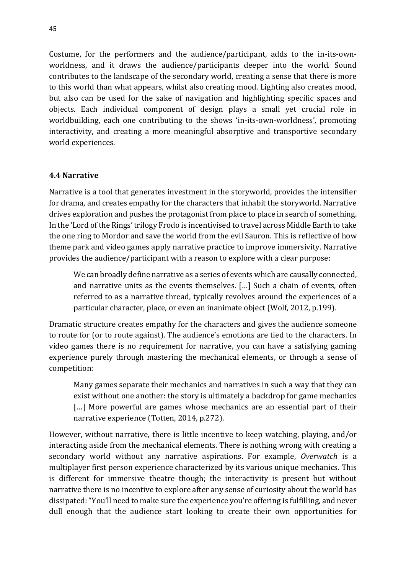Costume, for the performers and the audience/participant, adds to the in-its-ownworldness, and it draws the audience/participants deeper into the world. Sound contributes to the landscape of the secondary world, creating a sense that there is more to this world than what appears, whilst also creating mood. Lighting also creates mood, but also can be used for the sake of navigation and highlighting specific spaces and objects. Each individual component of design plays a small yet crucial role in worldbuilding, each one contributing to the shows 'in-its-own-worldness', promoting interactivity, and creating a more meaningful absorptive and transportive secondary world experiences.

#### **4.4 Narrative**

Narrative is a tool that generates investment in the storyworld, provides the intensifier for drama, and creates empathy for the characters that inhabit the storyworld. Narrative drives exploration and pushes the protagonist from place to place in search of something. In the 'Lord of the Rings' trilogy Frodo is incentivised to travel across Middle Earth to take the one ring to Mordor and save the world from the evil Sauron. This is reflective of how theme park and video games apply narrative practice to improve immersivity. Narrative provides the audience/participant with a reason to explore with a clear purpose:

We can broadly define narrative as a series of events which are causally connected, and narrative units as the events themselves. […] Such a chain of events, often referred to as a narrative thread, typically revolves around the experiences of a particular character, place, or even an inanimate object (Wolf, 2012, p.199).

Dramatic structure creates empathy for the characters and gives the audience someone to route for (or to route against). The audience's emotions are tied to the characters. In video games there is no requirement for narrative, you can have a satisfying gaming experience purely through mastering the mechanical elements, or through a sense of competition:

Many games separate their mechanics and narratives in such a way that they can exist without one another: the story is ultimately a backdrop for game mechanics [...] More powerful are games whose mechanics are an essential part of their narrative experience (Totten, 2014, p.272).

However, without narrative, there is little incentive to keep watching, playing, and/or interacting aside from the mechanical elements. There is nothing wrong with creating a secondary world without any narrative aspirations. For example, *Overwatch* is a multiplayer first person experience characterized by its various unique mechanics. This is different for immersive theatre though; the interactivity is present but without narrative there is no incentive to explore after any sense of curiosity about the world has dissipated: "You'll need to make sure the experience you're offering is fulfilling, and never dull enough that the audience start looking to create their own opportunities for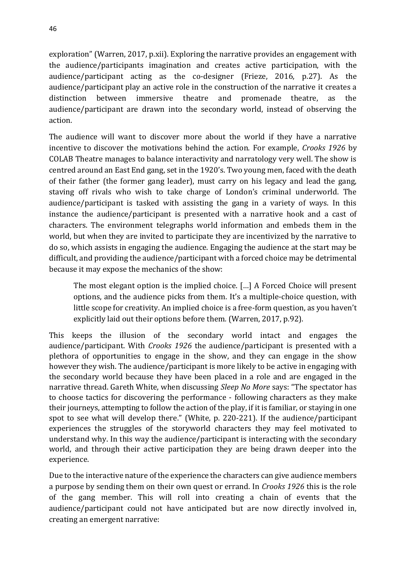exploration" (Warren, 2017, p.xii). Exploring the narrative provides an engagement with the audience/participants imagination and creates active participation, with the audience/participant acting as the co-designer (Frieze, 2016, p.27). As the audience/participant play an active role in the construction of the narrative it creates a distinction between immersive theatre and promenade theatre, as the audience/participant are drawn into the secondary world, instead of observing the action.

The audience will want to discover more about the world if they have a narrative incentive to discover the motivations behind the action. For example, *Crooks 1926* by COLAB Theatre manages to balance interactivity and narratology very well. The show is centred around an East End gang, set in the 1920's. Two young men, faced with the death of their father (the former gang leader), must carry on his legacy and lead the gang, staving off rivals who wish to take charge of London's criminal underworld. The audience/participant is tasked with assisting the gang in a variety of ways. In this instance the audience/participant is presented with a narrative hook and a cast of characters. The environment telegraphs world information and embeds them in the world, but when they are invited to participate they are incentivized by the narrative to do so, which assists in engaging the audience. Engaging the audience at the start may be difficult, and providing the audience/participant with a forced choice may be detrimental because it may expose the mechanics of the show:

The most elegant option is the implied choice. […] A Forced Choice will present options, and the audience picks from them. It's a multiple-choice question, with little scope for creativity. An implied choice is a free-form question, as you haven't explicitly laid out their options before them*.* (Warren, 2017, p.92).

This keeps the illusion of the secondary world intact and engages the audience/participant. With *Crooks 1926* the audience/participant is presented with a plethora of opportunities to engage in the show, and they can engage in the show however they wish. The audience/participant is more likely to be active in engaging with the secondary world because they have been placed in a role and are engaged in the narrative thread. Gareth White, when discussing *Sleep No More* says: "The spectator has to choose tactics for discovering the performance - following characters as they make their journeys, attempting to follow the action of the play, if it is familiar, or staying in one spot to see what will develop there." (White, p. 220-221). If the audience/participant experiences the struggles of the storyworld characters they may feel motivated to understand why. In this way the audience/participant is interacting with the secondary world, and through their active participation they are being drawn deeper into the experience.

Due to the interactive nature of the experience the characters can give audience members a purpose by sending them on their own quest or errand. In *Crooks 1926* this is the role of the gang member. This will roll into creating a chain of events that the audience/participant could not have anticipated but are now directly involved in, creating an emergent narrative: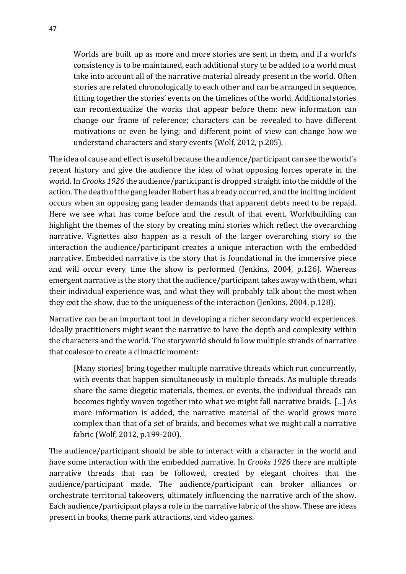Worlds are built up as more and more stories are sent in them, and if a world's consistency is to be maintained, each additional story to be added to a world must take into account all of the narrative material already present in the world. Often stories are related chronologically to each other and can be arranged in sequence, fitting together the stories' events on the timelines of the world. Additional stories can recontextualize the works that appear before them: new information can change our frame of reference; characters can be revealed to have different motivations or even be lying; and different point of view can change how we understand characters and story events (Wolf, 2012, p.205).

The idea of cause and effect is useful because the audience/participant can see the world's recent history and give the audience the idea of what opposing forces operate in the world. In *Crooks 1926* the audience/participant is dropped straight into the middle of the action. The death of the gang leader Robert has already occurred, and the inciting incident occurs when an opposing gang leader demands that apparent debts need to be repaid. Here we see what has come before and the result of that event. Worldbuilding can highlight the themes of the story by creating mini stories which reflect the overarching narrative. Vignettes also happen as a result of the larger overarching story so the interaction the audience/participant creates a unique interaction with the embedded narrative. Embedded narrative is the story that is foundational in the immersive piece and will occur every time the show is performed (Jenkins, 2004, p.126). Whereas emergent narrative is the story that the audience/participant takes away with them, what their individual experience was, and what they will probably talk about the most when they exit the show, due to the uniqueness of the interaction (Jenkins, 2004, p.128).

Narrative can be an important tool in developing a richer secondary world experiences. Ideally practitioners might want the narrative to have the depth and complexity within the characters and the world. The storyworld should follow multiple strands of narrative that coalesce to create a climactic moment:

[Many stories] bring together multiple narrative threads which run concurrently, with events that happen simultaneously in multiple threads. As multiple threads share the same diegetic materials, themes, or events, the individual threads can becomes tightly woven together into what we might fall narrative braids. […] As more information is added, the narrative material of the world grows more complex than that of a set of braids, and becomes what we might call a narrative fabric (Wolf, 2012, p.199-200).

The audience/participant should be able to interact with a character in the world and have some interaction with the embedded narrative. In *Crooks 1926* there are multiple narrative threads that can be followed, created by elegant choices that the audience/participant made. The audience/participant can broker alliances or orchestrate territorial takeovers, ultimately influencing the narrative arch of the show. Each audience/participant plays a role in the narrative fabric of the show. These are ideas present in books, theme park attractions, and video games.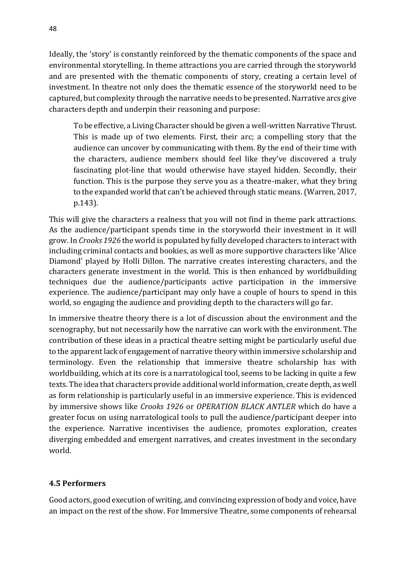Ideally, the 'story' is constantly reinforced by the thematic components of the space and environmental storytelling. In theme attractions you are carried through the storyworld and are presented with the thematic components of story, creating a certain level of investment. In theatre not only does the thematic essence of the storyworld need to be captured, but complexity through the narrative needs to be presented. Narrative arcs give characters depth and underpin their reasoning and purpose:

To be effective, a Living Character should be given a well-written Narrative Thrust. This is made up of two elements. First, their arc; a compelling story that the audience can uncover by communicating with them. By the end of their time with the characters, audience members should feel like they've discovered a truly fascinating plot-line that would otherwise have stayed hidden. Secondly, their function. This is the purpose they serve you as a theatre-maker, what they bring to the expanded world that can't be achieved through static means. (Warren, 2017, p.143).

This will give the characters a realness that you will not find in theme park attractions. As the audience/participant spends time in the storyworld their investment in it will grow. In *Crooks 1926* the world is populated by fully developed characters to interact with including criminal contacts and bookies, as well as more supportive characters like 'Alice Diamond' played by Holli Dillon. The narrative creates interesting characters, and the characters generate investment in the world. This is then enhanced by worldbuilding techniques due the audience/participants active participation in the immersive experience. The audience/participant may only have a couple of hours to spend in this world, so engaging the audience and providing depth to the characters will go far.

In immersive theatre theory there is a lot of discussion about the environment and the scenography, but not necessarily how the narrative can work with the environment. The contribution of these ideas in a practical theatre setting might be particularly useful due to the apparent lack of engagement of narrative theory within immersive scholarship and terminology. Even the relationship that immersive theatre scholarship has with worldbuilding, which at its core is a narratological tool, seems to be lacking in quite a few texts. The idea that characters provide additional world information, create depth, as well as form relationship is particularly useful in an immersive experience. This is evidenced by immersive shows like *Crooks 1926* or *OPERATION BLACK ANTLER* which do have a greater focus on using narratological tools to pull the audience/participant deeper into the experience. Narrative incentivises the audience, promotes exploration, creates diverging embedded and emergent narratives, and creates investment in the secondary world.

## **4.5 Performers**

Good actors, good execution of writing, and convincing expression of body and voice, have an impact on the rest of the show. For Immersive Theatre, some components of rehearsal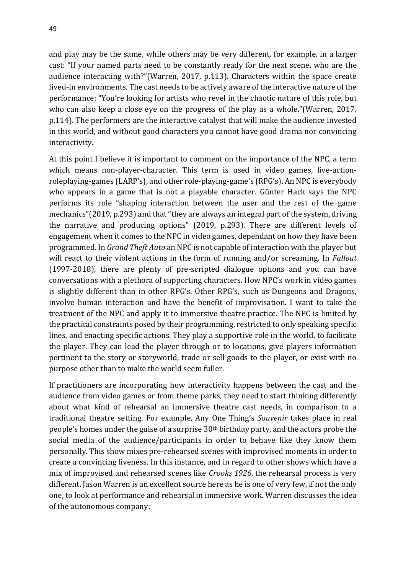and play may be the same, while others may be very different, for example, in a larger cast: "If your named parts need to be constantly ready for the next scene, who are the audience interacting with?"(Warren, 2017, p.113). Characters within the space create lived-in environments. The cast needs to be actively aware of the interactive nature of the performance: "You're looking for artists who revel in the chaotic nature of this role, but who can also keep a close eye on the progress of the play as a whole."(Warren, 2017, p.114). The performers are the interactive catalyst that will make the audience invested in this world, and without good characters you cannot have good drama nor convincing interactivity.

At this point I believe it is important to comment on the importance of the NPC, a term which means non-player-character. This term is used in video games, live-actionroleplaying-games (LARP's), and other role-playing-game's (RPG's). An NPC is everybody who appears in a game that is not a playable character. Günter Hack says the NPC performs its role "shaping interaction between the user and the rest of the game mechanics"(2019, p.293) and that "they are always an integral part of the system, driving the narrative and producing options" (2019, p.293). There are different levels of engagement when it comes to the NPC in video games, dependant on how they have been programmed. In *Grand Theft Auto* an NPC is not capable of interaction with the player but will react to their violent actions in the form of running and/or screaming. In *Fallout* (1997-2018), there are plenty of pre-scripted dialogue options and you can have conversations with a plethora of supporting characters. How NPC's work in video games is slightly different than in other RPG's. Other RPG's, such as Dungeons and Dragons, involve human interaction and have the benefit of improvisation. I want to take the treatment of the NPC and apply it to immersive theatre practice. The NPC is limited by the practical constraints posed by their programming, restricted to only speaking specific lines, and enacting specific actions. They play a supportive role in the world, to facilitate the player. They can lead the player through or to locations, give players information pertinent to the story or storyworld, trade or sell goods to the player, or exist with no purpose other than to make the world seem fuller.

If practitioners are incorporating how interactivity happens between the cast and the audience from video games or from theme parks, they need to start thinking differently about what kind of rehearsal an immersive theatre cast needs, in comparison to a traditional theatre setting. For example, Any One Thing's *Souvenir* takes place in real people's homes under the guise of a surprise 30th birthday party, and the actors probe the social media of the audience/participants in order to behave like they know them personally. This show mixes pre-rehearsed scenes with improvised moments in order to create a convincing liveness. In this instance, and in regard to other shows which have a mix of improvised and rehearsed scenes like *Crooks 1926*, the rehearsal process is very different. Jason Warren is an excellent source here as he is one of very few, if not the only one, to look at performance and rehearsal in immersive work. Warren discusses the idea of the autonomous company: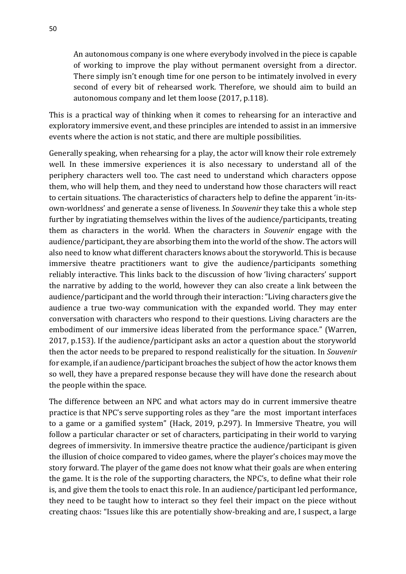An autonomous company is one where everybody involved in the piece is capable of working to improve the play without permanent oversight from a director. There simply isn't enough time for one person to be intimately involved in every second of every bit of rehearsed work. Therefore, we should aim to build an autonomous company and let them loose (2017, p.118).

This is a practical way of thinking when it comes to rehearsing for an interactive and exploratory immersive event, and these principles are intended to assist in an immersive events where the action is not static, and there are multiple possibilities.

Generally speaking, when rehearsing for a play, the actor will know their role extremely well. In these immersive experiences it is also necessary to understand all of the periphery characters well too. The cast need to understand which characters oppose them, who will help them, and they need to understand how those characters will react to certain situations. The characteristics of characters help to define the apparent 'in-itsown-worldness' and generate a sense of liveness. In *Souvenir* they take this a whole step further by ingratiating themselves within the lives of the audience/participants, treating them as characters in the world. When the characters in *Souvenir* engage with the audience/participant, they are absorbing them into the world of the show. The actors will also need to know what different characters knows about the storyworld. This is because immersive theatre practitioners want to give the audience/participants something reliably interactive. This links back to the discussion of how 'living characters' support the narrative by adding to the world, however they can also create a link between the audience/participant and the world through their interaction: "Living characters give the audience a true two-way communication with the expanded world. They may enter conversation with characters who respond to their questions. Living characters are the embodiment of our immersive ideas liberated from the performance space." (Warren, 2017, p.153). If the audience/participant asks an actor a question about the storyworld then the actor needs to be prepared to respond realistically for the situation. In *Souvenir* for example, if an audience/participant broaches the subject of how the actor knows them so well, they have a prepared response because they will have done the research about the people within the space.

The difference between an NPC and what actors may do in current immersive theatre practice is that NPC's serve supporting roles as they "are the most important interfaces to a game or a gamified system" (Hack, 2019, p.297). In Immersive Theatre, you will follow a particular character or set of characters, participating in their world to varying degrees of immersivity. In immersive theatre practice the audience/participant is given the illusion of choice compared to video games, where the player's choices may move the story forward. The player of the game does not know what their goals are when entering the game. It is the role of the supporting characters, the NPC's, to define what their role is, and give them the tools to enact this role. In an audience/participant led performance, they need to be taught how to interact so they feel their impact on the piece without creating chaos: "Issues like this are potentially show-breaking and are, I suspect, a large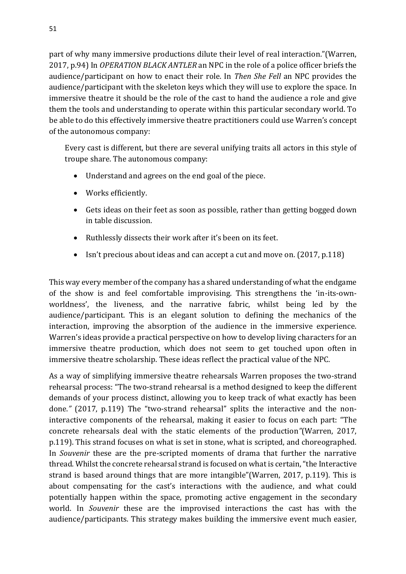part of why many immersive productions dilute their level of real interaction."(Warren, 2017, p.94) In *OPERATION BLACK ANTLER* an NPC in the role of a police officer briefs the audience/participant on how to enact their role. In *Then She Fell* an NPC provides the audience/participant with the skeleton keys which they will use to explore the space. In immersive theatre it should be the role of the cast to hand the audience a role and give them the tools and understanding to operate within this particular secondary world. To be able to do this effectively immersive theatre practitioners could use Warren's concept of the autonomous company:

Every cast is different, but there are several unifying traits all actors in this style of troupe share. The autonomous company:

- Understand and agrees on the end goal of the piece.
- Works efficiently.
- Gets ideas on their feet as soon as possible, rather than getting bogged down in table discussion.
- Ruthlessly dissects their work after it's been on its feet.
- Isn't precious about ideas and can accept a cut and move on. (2017, p.118)

This way every member of the company has a shared understanding of what the endgame of the show is and feel comfortable improvising. This strengthens the 'in-its-ownworldness', the liveness, and the narrative fabric, whilst being led by the audience/participant. This is an elegant solution to defining the mechanics of the interaction, improving the absorption of the audience in the immersive experience. Warren's ideas provide a practical perspective on how to develop living characters for an immersive theatre production, which does not seem to get touched upon often in immersive theatre scholarship. These ideas reflect the practical value of the NPC.

As a way of simplifying immersive theatre rehearsals Warren proposes the two-strand rehearsal process: "The two-strand rehearsal is a method designed to keep the different demands of your process distinct, allowing you to keep track of what exactly has been done.*"* (2017, p.119) The "two-strand rehearsal" splits the interactive and the noninteractive components of the rehearsal, making it easier to focus on each part: "The concrete rehearsals deal with the static elements of the production*"*(Warren, 2017, p.119). This strand focuses on what is set in stone, what is scripted, and choreographed. In *Souvenir* these are the pre-scripted moments of drama that further the narrative thread. Whilst the concrete rehearsal strand is focused on what is certain, "the Interactive strand is based around things that are more intangible"(Warren, 2017, p.119). This is about compensating for the cast's interactions with the audience, and what could potentially happen within the space, promoting active engagement in the secondary world. In *Souvenir* these are the improvised interactions the cast has with the audience/participants. This strategy makes building the immersive event much easier,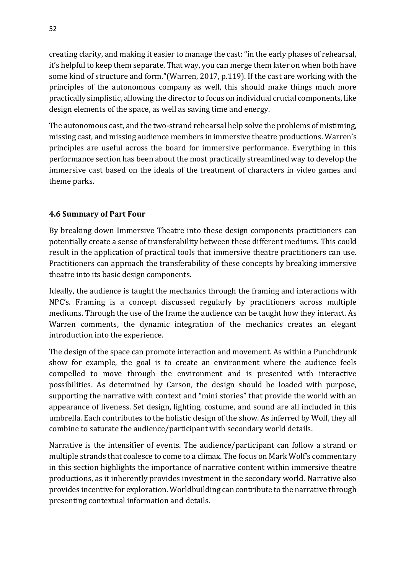creating clarity, and making it easier to manage the cast: "in the early phases of rehearsal, it's helpful to keep them separate. That way, you can merge them later on when both have some kind of structure and form."(Warren, 2017, p.119). If the cast are working with the principles of the autonomous company as well, this should make things much more practically simplistic, allowing the director to focus on individual crucial components, like design elements of the space, as well as saving time and energy.

The autonomous cast, and the two-strand rehearsal help solve the problems of mistiming, missing cast, and missing audience members in immersive theatre productions. Warren's principles are useful across the board for immersive performance. Everything in this performance section has been about the most practically streamlined way to develop the immersive cast based on the ideals of the treatment of characters in video games and theme parks.

## **4.6 Summary of Part Four**

By breaking down Immersive Theatre into these design components practitioners can potentially create a sense of transferability between these different mediums. This could result in the application of practical tools that immersive theatre practitioners can use. Practitioners can approach the transferability of these concepts by breaking immersive theatre into its basic design components.

Ideally, the audience is taught the mechanics through the framing and interactions with NPC's. Framing is a concept discussed regularly by practitioners across multiple mediums. Through the use of the frame the audience can be taught how they interact. As Warren comments, the dynamic integration of the mechanics creates an elegant introduction into the experience.

The design of the space can promote interaction and movement. As within a Punchdrunk show for example, the goal is to create an environment where the audience feels compelled to move through the environment and is presented with interactive possibilities. As determined by Carson, the design should be loaded with purpose, supporting the narrative with context and "mini stories" that provide the world with an appearance of liveness. Set design, lighting, costume, and sound are all included in this umbrella. Each contributes to the holistic design of the show. As inferred by Wolf, they all combine to saturate the audience/participant with secondary world details.

Narrative is the intensifier of events. The audience/participant can follow a strand or multiple strands that coalesce to come to a climax. The focus on Mark Wolf's commentary in this section highlights the importance of narrative content within immersive theatre productions, as it inherently provides investment in the secondary world. Narrative also provides incentive for exploration. Worldbuilding can contribute to the narrative through presenting contextual information and details.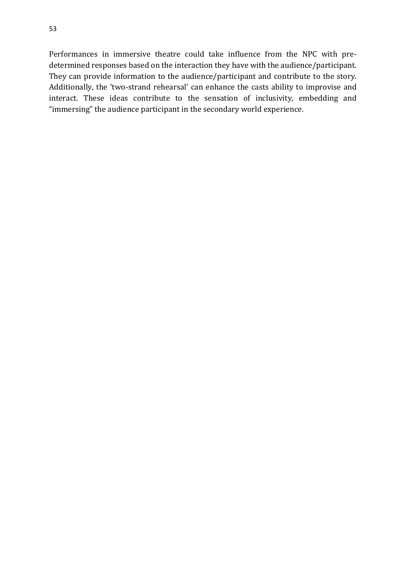Performances in immersive theatre could take influence from the NPC with predetermined responses based on the interaction they have with the audience/participant. They can provide information to the audience/participant and contribute to the story. Additionally, the 'two-strand rehearsal' can enhance the casts ability to improvise and interact. These ideas contribute to the sensation of inclusivity, embedding and "immersing" the audience participant in the secondary world experience.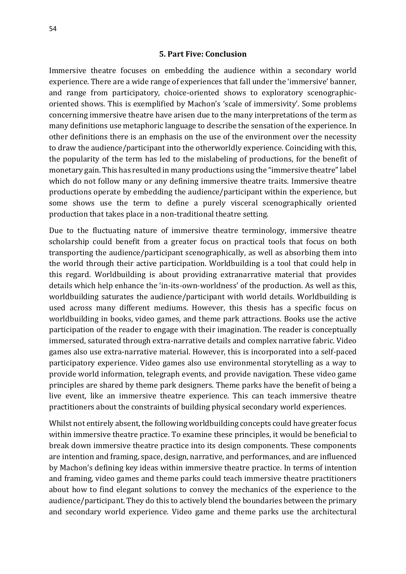#### **5. Part Five: Conclusion**

Immersive theatre focuses on embedding the audience within a secondary world experience. There are a wide range of experiences that fall under the 'immersive' banner, and range from participatory, choice-oriented shows to exploratory scenographicoriented shows. This is exemplified by Machon's 'scale of immersivity'. Some problems concerning immersive theatre have arisen due to the many interpretations of the term as many definitions use metaphoric language to describe the sensation of the experience. In other definitions there is an emphasis on the use of the environment over the necessity to draw the audience/participant into the otherworldly experience. Coinciding with this, the popularity of the term has led to the mislabeling of productions, for the benefit of monetary gain. This has resulted in many productions using the "immersive theatre" label which do not follow many or any defining immersive theatre traits. Immersive theatre productions operate by embedding the audience/participant within the experience, but some shows use the term to define a purely visceral scenographically oriented production that takes place in a non-traditional theatre setting.

Due to the fluctuating nature of immersive theatre terminology, immersive theatre scholarship could benefit from a greater focus on practical tools that focus on both transporting the audience/participant scenographically, as well as absorbing them into the world through their active participation. Worldbuilding is a tool that could help in this regard. Worldbuilding is about providing extranarrative material that provides details which help enhance the 'in-its-own-worldness' of the production. As well as this, worldbuilding saturates the audience/participant with world details. Worldbuilding is used across many different mediums. However, this thesis has a specific focus on worldbuilding in books, video games, and theme park attractions. Books use the active participation of the reader to engage with their imagination. The reader is conceptually immersed, saturated through extra-narrative details and complex narrative fabric. Video games also use extra-narrative material. However, this is incorporated into a self-paced participatory experience. Video games also use environmental storytelling as a way to provide world information, telegraph events, and provide navigation. These video game principles are shared by theme park designers. Theme parks have the benefit of being a live event, like an immersive theatre experience. This can teach immersive theatre practitioners about the constraints of building physical secondary world experiences.

Whilst not entirely absent, the following worldbuilding concepts could have greater focus within immersive theatre practice. To examine these principles, it would be beneficial to break down immersive theatre practice into its design components. These components are intention and framing, space, design, narrative, and performances, and are influenced by Machon's defining key ideas within immersive theatre practice. In terms of intention and framing, video games and theme parks could teach immersive theatre practitioners about how to find elegant solutions to convey the mechanics of the experience to the audience/participant. They do this to actively blend the boundaries between the primary and secondary world experience. Video game and theme parks use the architectural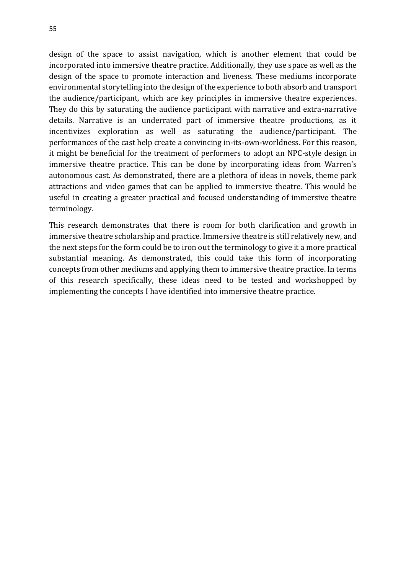design of the space to assist navigation, which is another element that could be incorporated into immersive theatre practice. Additionally, they use space as well as the design of the space to promote interaction and liveness. These mediums incorporate environmental storytelling into the design of the experience to both absorb and transport the audience/participant, which are key principles in immersive theatre experiences. They do this by saturating the audience participant with narrative and extra-narrative details. Narrative is an underrated part of immersive theatre productions, as it incentivizes exploration as well as saturating the audience/participant. The performances of the cast help create a convincing in-its-own-worldness. For this reason, it might be beneficial for the treatment of performers to adopt an NPC-style design in immersive theatre practice. This can be done by incorporating ideas from Warren's autonomous cast. As demonstrated, there are a plethora of ideas in novels, theme park attractions and video games that can be applied to immersive theatre. This would be useful in creating a greater practical and focused understanding of immersive theatre terminology.

This research demonstrates that there is room for both clarification and growth in immersive theatre scholarship and practice. Immersive theatre is still relatively new, and the next steps for the form could be to iron out the terminology to give it a more practical substantial meaning. As demonstrated, this could take this form of incorporating concepts from other mediums and applying them to immersive theatre practice. In terms of this research specifically, these ideas need to be tested and workshopped by implementing the concepts I have identified into immersive theatre practice.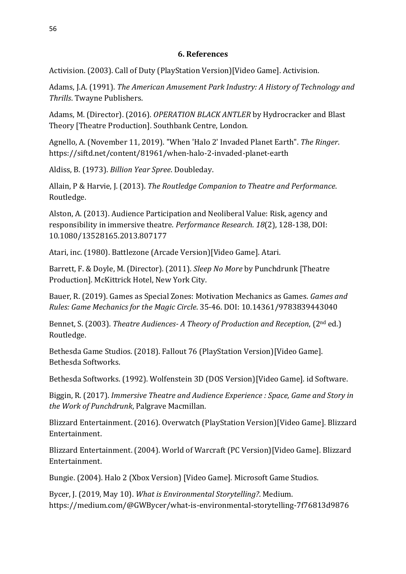## **6. References**

Activision. (2003). Call of Duty (PlayStation Version)[Video Game]. Activision.

Adams, J.A. (1991). *The American Amusement Park Industry: A History of Technology and Thrills*. Twayne Publishers.

Adams, M. (Director). (2016). *OPERATION BLACK ANTLER* by Hydrocracker and Blast Theory [Theatre Production]. Southbank Centre, London.

Agnello, A. (November 11, 2019). "When 'Halo 2' Invaded Planet Earth". *The Ringer*. https://siftd.net/content/81961/when-halo-2-invaded-planet-earth

Aldiss, B. (1973). *Billion Year Spree*. Doubleday.

Allain, P & Harvie, J. (2013). *The Routledge Companion to Theatre and Performance*. Routledge.

Alston, A. (2013). Audience Participation and Neoliberal Value: Risk, agency and responsibility in immersive theatre. *Performance Research*. *18*(2), 128-138, DOI: 10.1080/13528165.2013.807177

Atari, inc. (1980). Battlezone (Arcade Version)[Video Game]. Atari.

Barrett, F. & Doyle, M. (Director). (2011). *Sleep No More* by Punchdrunk [Theatre Production]. McKittrick Hotel, New York City.

Bauer, R. (2019). Games as Special Zones: Motivation Mechanics as Games. *Games and Rules: Game Mechanics for the Magic Circle*. 35-46. DOI: 10.14361/9783839443040

Bennet, S. (2003). *Theatre Audiences- A Theory of Production and Reception*, (2nd ed.) Routledge.

Bethesda Game Studios. (2018). Fallout 76 (PlayStation Version)[Video Game]. Bethesda Softworks.

Bethesda Softworks. (1992). Wolfenstein 3D (DOS Version)[Video Game]. id Software.

Biggin, R. (2017). *Immersive Theatre and Audience Experience : Space, Game and Story in the Work of Punchdrunk*, Palgrave Macmillan.

Blizzard Entertainment. (2016). Overwatch (PlayStation Version)[Video Game]. Blizzard Entertainment.

Blizzard Entertainment. (2004). World of Warcraft (PC Version)[Video Game]. Blizzard Entertainment.

Bungie. (2004). Halo 2 (Xbox Version) [Video Game]. Microsoft Game Studios.

Bycer, J. (2019, May 10). *What is Environmental Storytelling?*. Medium. https://medium.com/@GWBycer/what-is-environmental-storytelling-7f76813d9876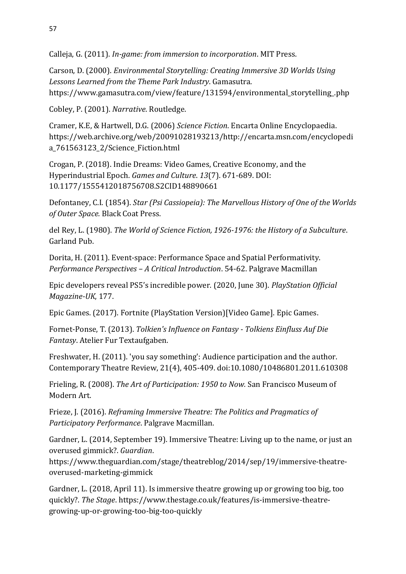Calleja, G. (2011). *In-game: from immersion to incorporation*. MIT Press.

Carson, D. (2000). *Environmental Storytelling: Creating Immersive 3D Worlds Using Lessons Learned from the Theme Park Industry*. Gamasutra. https://www.gamasutra.com/view/feature/131594/environmental\_storytelling\_.php

Cobley, P. (2001). *Narrative*. Routledge.

Cramer, K.E, & Hartwell, D.G. (2006) *Science Fiction*. Encarta Online Encyclopaedia. https://web.archive.org/web/20091028193213/http://encarta.msn.com/encyclopedi a\_761563123\_2/Science\_Fiction.html

Crogan, P. (2018). Indie Dreams: Video Games, Creative Economy, and the Hyperindustrial Epoch. *Games and Culture*. *13*(7). 671-689. DOI: 10.1177/1555412018756708.S2CID148890661

Defontaney, C.I. (1854). *Star (Psi Cassiopeia): The Marvellous History of One of the Worlds of Outer Space.* Black Coat Press.

del Rey, L. (1980). *The World of Science Fiction, 1926-1976: the History of a Subculture*. Garland Pub.

Dorita, H. (2011). Event-space: Performance Space and Spatial Performativity. *Performance Perspectives – A Critical Introduction*. 54-62. Palgrave Macmillan

Epic developers reveal PS5's incredible power. (2020, June 30). *PlayStation Official Magazine-UK*, 177.

Epic Games. (2017). Fortnite (PlayStation Version)[Video Game]. Epic Games.

Fornet-Ponse, T. (2013). *Tolkien's Influence on Fantasy - Tolkiens Einfluss Auf Die Fantasy*. Atelier Fur Textaufgaben.

Freshwater, H. (2011). 'you say something': Audience participation and the author. Contemporary Theatre Review, 21(4), 405-409. doi:10.1080/10486801.2011.610308

Frieling, R. (2008). *The Art of Participation: 1950 to Now.* San Francisco Museum of Modern Art.

Frieze, J. (2016). *Reframing Immersive Theatre: The Politics and Pragmatics of Participatory Performance*. Palgrave Macmillan.

Gardner, L. (2014, September 19). Immersive Theatre: Living up to the name, or just an overused gimmick?. *Guardian*.

https://www.theguardian.com/stage/theatreblog/2014/sep/19/immersive-theatreoverused-marketing-gimmick

Gardner, L. (2018, April 11). Is immersive theatre growing up or growing too big, too quickly?. *The Stage*. https://www.thestage.co.uk/features/is-immersive-theatregrowing-up-or-growing-too-big-too-quickly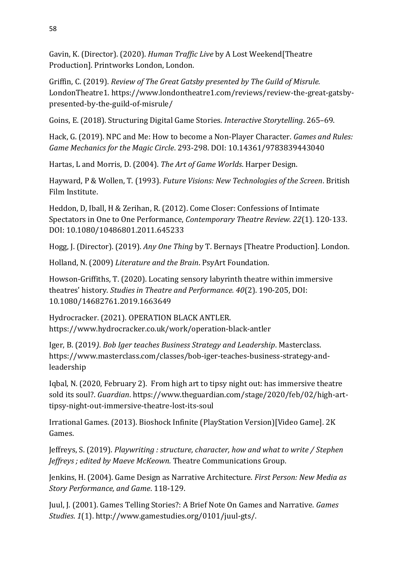Gavin, K. (Director). (2020). *Human Traffic Live* by A Lost Weekend[Theatre Production]. Printworks London, London.

Griffin, C. (2019). *Review of The Great Gatsby presented by The Guild of Misrule.* LondonTheatre1. https://www.londontheatre1.com/reviews/review-the-great-gatsbypresented-by-the-guild-of-misrule/

Goins, E. (2018). Structuring Digital Game Stories. *Interactive Storytelling*. 265–69.

Hack, G. (2019). NPC and Me: How to become a Non-Player Character. *Games and Rules: Game Mechanics for the Magic Circle*. 293-298. DOI: 10.14361/9783839443040

Hartas, L and Morris, D. (2004). *The Art of Game Worlds*. Harper Design.

Hayward, P & Wollen, T. (1993). *Future Visions: New Technologies of the Screen*. British Film Institute.

Heddon, D, Iball, H & Zerihan, R. (2012). Come Closer: Confessions of Intimate Spectators in One to One Performance, *Contemporary Theatre Review. 22*(1). 120-133. DOI: 10.1080/10486801.2011.645233

Hogg, J. (Director). (2019). *Any One Thing* by T. Bernays [Theatre Production]. London.

Holland, N. (2009) *Literature and the Brain*. PsyArt Foundation.

Howson-Griffiths, T. (2020). Locating sensory labyrinth theatre within immersive theatres' history. *Studies in Theatre and Performance. 40*(2). 190-205, DOI: 10.1080/14682761.2019.1663649

Hydrocracker. (2021). OPERATION BLACK ANTLER. https://www.hydrocracker.co.uk/work/operation-black-antler

Iger, B. (2019*)*. *Bob Iger teaches Business Strategy and Leadership*. Masterclass. https://www.masterclass.com/classes/bob-iger-teaches-business-strategy-andleadership

Iqbal, N. (2020, February 2). From high art to tipsy night out: has immersive theatre sold its soul?. *Guardian*. https://www.theguardian.com/stage/2020/feb/02/high-arttipsy-night-out-immersive-theatre-lost-its-soul

Irrational Games. (2013). Bioshock Infinite (PlayStation Version)[Video Game]. 2K Games.

Jeffreys, S. (2019). *Playwriting : structure, character, how and what to write / Stephen Jeffreys ; edited by Maeve McKeown.* Theatre Communications Group.

Jenkins, H. (2004). Game Design as Narrative Architecture. *First Person: New Media as Story Performance, and Game*. 118-129.

Juul, J. (2001). Games Telling Stories?: A Brief Note On Games and Narrative. *Games Studies*. *1*(1). http://www.gamestudies.org/0101/juul-gts/.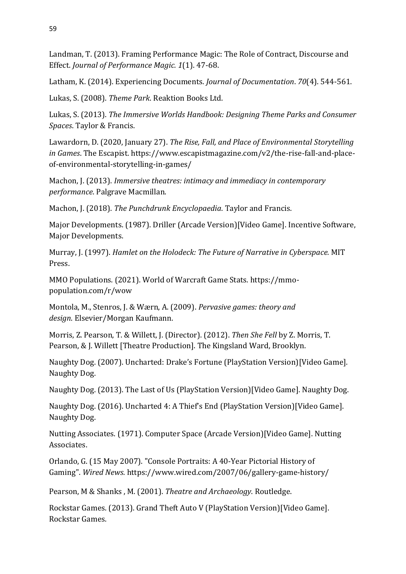Landman, T. (2013). Framing Performance Magic: The Role of Contract, Discourse and Effect. *Journal of Performance Magic. 1*(1). 47-68.

Latham, K. (2014). Experiencing Documents. *Journal of Documentation*. *70*(4). 544-561.

Lukas, S. (2008). *Theme Park*. Reaktion Books Ltd.

Lukas, S. (2013). *The Immersive Worlds Handbook: Designing Theme Parks and Consumer Spaces*. Taylor & Francis.

Lawardorn, D. (2020, January 27). *The Rise, Fall, and Place of Environmental Storytelling in Games*. The Escapist. https://www.escapistmagazine.com/v2/the-rise-fall-and-placeof-environmental-storytelling-in-games/

Machon, J. (2013). *Immersive theatres: intimacy and immediacy in contemporary performance*. Palgrave Macmillan.

Machon, J. (2018). *The Punchdrunk Encyclopaedia*. Taylor and Francis.

Major Developments. (1987). Driller (Arcade Version)[Video Game]. Incentive Software, Major Developments.

Murray, J. (1997). *Hamlet on the Holodeck: The Future of Narrative in Cyberspace.* MIT Press.

MMO Populations. (2021). World of Warcraft Game Stats. https://mmopopulation.com/r/wow

Montola, M., Stenros, J. & Wærn, A. (2009). *Pervasive games: theory and design*. Elsevier/Morgan Kaufmann.

Morris, Z. Pearson, T. & Willett, J. (Director). (2012). *Then She Fell* by Z. Morris, T. Pearson, & J. Willett [Theatre Production]. The Kingsland Ward, Brooklyn.

Naughty Dog. (2007). Uncharted: Drake's Fortune (PlayStation Version)[Video Game]. Naughty Dog.

Naughty Dog. (2013). The Last of Us (PlayStation Version)[Video Game]. Naughty Dog.

Naughty Dog. (2016). Uncharted 4: A Thief's End (PlayStation Version)[Video Game]. Naughty Dog.

Nutting Associates. (1971). Computer Space (Arcade Version)[Video Game]. Nutting Associates.

Orlando, G. (15 May 2007). "Console Portraits: A 40-Year Pictorial History of Gaming". *Wired News*. https://www.wired.com/2007/06/gallery-game-history/

Pearson, M & Shanks , M. (2001). *Theatre and Archaeology*. Routledge.

Rockstar Games. (2013). Grand Theft Auto V (PlayStation Version)[Video Game]. Rockstar Games.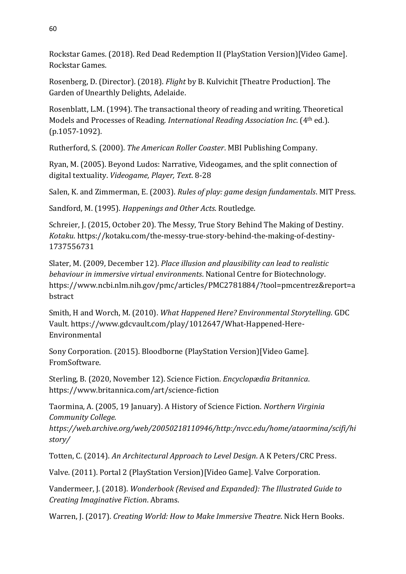Rockstar Games. (2018). Red Dead Redemption II (PlayStation Version)[Video Game]. Rockstar Games.

Rosenberg, D. (Director). (2018). *Flight* by B. Kulvichit [Theatre Production]. The Garden of Unearthly Delights, Adelaide.

Rosenblatt, L.M. (1994). The transactional theory of reading and writing. Theoretical Models and Processes of Reading. *International Reading Association Inc*. (4th ed.). (p.1057-1092).

Rutherford, S. (2000). *The American Roller Coaster*. MBI Publishing Company.

Ryan, M. (2005). Beyond Ludos: Narrative, Videogames, and the split connection of digital textuality. *Videogame, Player, Text*. 8-28

Salen, K. and Zimmerman, E. (2003). *Rules of play: game design fundamentals*. MIT Press.

Sandford, M. (1995). *Happenings and Other Acts*. Routledge.

Schreier, J. (2015, October 20). The Messy, True Story Behind The Making of Destiny. *Kotaku*. https://kotaku.com/the-messy-true-story-behind-the-making-of-destiny-1737556731

Slater, M. (2009, December 12). *Place illusion and plausibility can lead to realistic behaviour in immersive virtual environments*. National Centre for Biotechnology. https://www.ncbi.nlm.nih.gov/pmc/articles/PMC2781884/?tool=pmcentrez&report=a bstract

Smith, H and Worch, M. (2010). *What Happened Here? Environmental Storytelling*. GDC Vault. https://www.gdcvault.com/play/1012647/What-Happened-Here-Environmental

Sony Corporation. (2015). Bloodborne (PlayStation Version)[Video Game]. FromSoftware.

Sterling, B. (2020, November 12). Science Fiction. *Encyclopædia Britannica*. https://www.britannica.com/art/science-fiction

Taormina, A. (2005, 19 January). A History of Science Fiction. *Northern Virginia Community College.* 

*https://web.archive.org/web/20050218110946/http:/nvcc.edu/home/ataormina/scifi/hi story/*

Totten, C. (2014). *An Architectural Approach to Level Design*. A K Peters/CRC Press.

Valve. (2011). Portal 2 (PlayStation Version)[Video Game]. Valve Corporation.

Vandermeer, J. (2018). *Wonderbook (Revised and Expanded): The Illustrated Guide to Creating Imaginative Fiction*. Abrams.

Warren, J. (2017). *Creating World: How to Make Immersive Theatre*. Nick Hern Books.